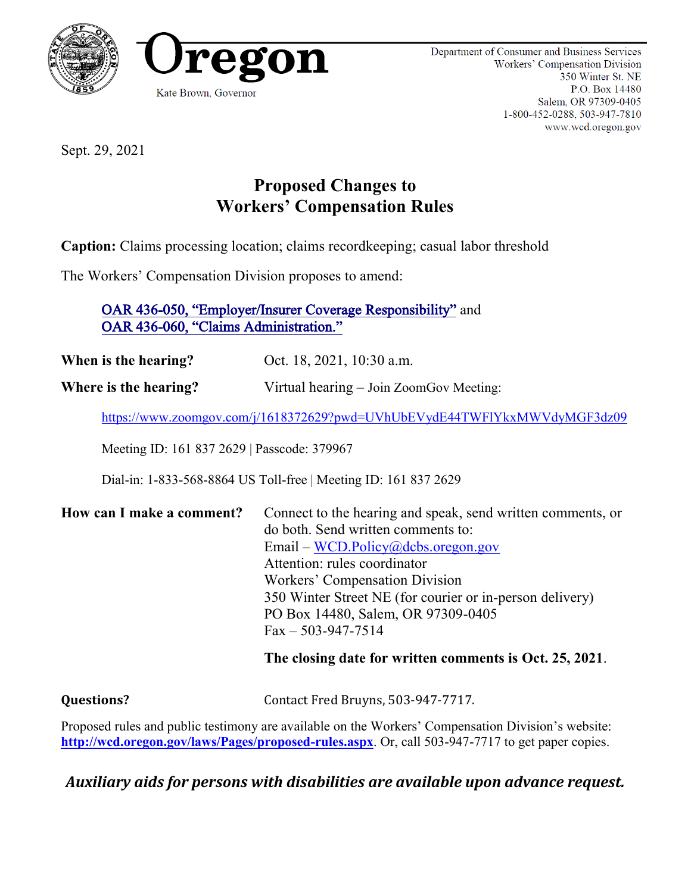



Sept. 29, 2021

# **Proposed Changes to Workers' Compensation Rules**

**Caption:** Claims processing location; claims recordkeeping; casual labor threshold

The Workers' Compensation Division proposes to amend:

OAR 436-[050, "Employer/Insurer Coverage Responsibility"](#page-4-0) and OAR 436-[060, "Claims Administration."](#page-34-0)

**When is the hearing?** Oct. 18, 2021, 10:30 a.m.

**Where is the hearing?** Virtual hearing – Join ZoomGov Meeting:

<https://www.zoomgov.com/j/1618372629?pwd=UVhUbEVydE44TWFlYkxMWVdyMGF3dz09>

Meeting ID: 161 837 2629 | Passcode: 379967

Dial-in: 1-833-568-8864 US Toll-free | Meeting ID: 161 837 2629

**How can I make a comment?** Connect to the hearing and speak, send written comments, or do both. Send written comments to: Email – [WCD.Policy@dcbs.oregon.gov](mailto:WCD.Policy@dcbs.oregon.gov) Attention: rules coordinator Workers' Compensation Division 350 Winter Street NE (for courier or in-person delivery) PO Box 14480, Salem, OR 97309-0405  $Fax - 503 - 947 - 7514$ 

**The closing date for written comments is Oct. 25, 2021**.

**Questions?** Contact Fred Bruyns, 503-947-7717.

Proposed rules and public testimony are available on the Workers' Compensation Division's website: **<http://wcd.oregon.gov/laws/Pages/proposed-rules.aspx>**. Or, call 503-947-7717 to get paper copies.

*Auxiliary aids for persons with disabilities are available upon advance request.*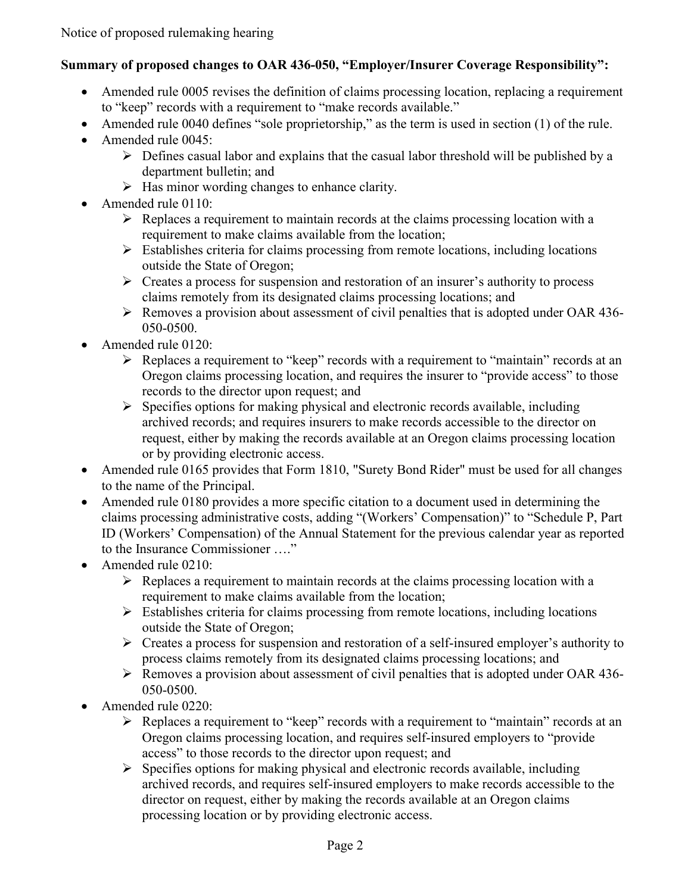# **Summary of proposed changes to OAR 436-050, "Employer/Insurer Coverage Responsibility":**

- Amended rule 0005 revises the definition of claims processing location, replacing a requirement to "keep" records with a requirement to "make records available."
- Amended rule 0040 defines "sole proprietorship," as the term is used in section (1) of the rule.
- Amended rule 0045:
	- $\triangleright$  Defines casual labor and explains that the casual labor threshold will be published by a department bulletin; and
	- $\triangleright$  Has minor wording changes to enhance clarity.
- Amended rule 0110:
	- ➢ Replaces a requirement to maintain records at the claims processing location with a requirement to make claims available from the location;
	- ➢ Establishes criteria for claims processing from remote locations, including locations outside the State of Oregon;
	- ➢ Creates a process for suspension and restoration of an insurer's authority to process claims remotely from its designated claims processing locations; and
	- ➢ Removes a provision about assessment of civil penalties that is adopted under OAR 436- 050-0500.
- Amended rule 0120:
	- ➢ Replaces a requirement to "keep" records with a requirement to "maintain" records at an Oregon claims processing location, and requires the insurer to "provide access" to those records to the director upon request; and
	- ➢ Specifies options for making physical and electronic records available, including archived records; and requires insurers to make records accessible to the director on request, either by making the records available at an Oregon claims processing location or by providing electronic access.
- Amended rule 0165 provides that Form 1810, "Surety Bond Rider" must be used for all changes to the name of the Principal.
- Amended rule 0180 provides a more specific citation to a document used in determining the claims processing administrative costs, adding "(Workers' Compensation)" to "Schedule P, Part ID (Workers' Compensation) of the Annual Statement for the previous calendar year as reported to the Insurance Commissioner …."
- Amended rule 0210:
	- $\triangleright$  Replaces a requirement to maintain records at the claims processing location with a requirement to make claims available from the location;
	- ➢ Establishes criteria for claims processing from remote locations, including locations outside the State of Oregon;
	- ➢ Creates a process for suspension and restoration of a self-insured employer's authority to process claims remotely from its designated claims processing locations; and
	- ➢ Removes a provision about assessment of civil penalties that is adopted under OAR 436- 050-0500.
- Amended rule 0220:
	- ➢ Replaces a requirement to "keep" records with a requirement to "maintain" records at an Oregon claims processing location, and requires self-insured employers to "provide access" to those records to the director upon request; and
	- ➢ Specifies options for making physical and electronic records available, including archived records, and requires self-insured employers to make records accessible to the director on request, either by making the records available at an Oregon claims processing location or by providing electronic access.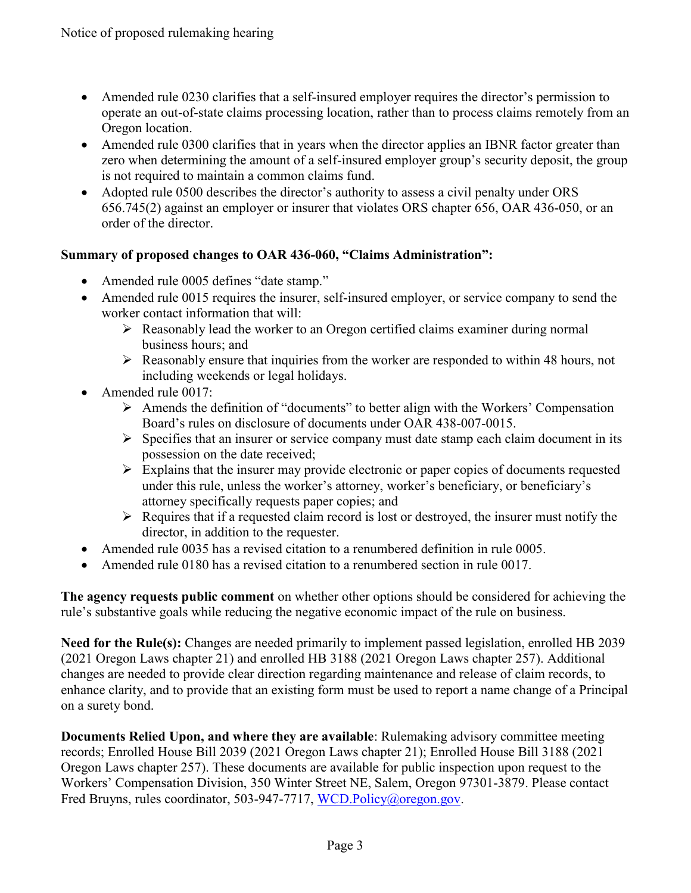- Amended rule 0230 clarifies that a self-insured employer requires the director's permission to operate an out-of-state claims processing location, rather than to process claims remotely from an Oregon location.
- Amended rule 0300 clarifies that in years when the director applies an IBNR factor greater than zero when determining the amount of a self-insured employer group's security deposit, the group is not required to maintain a common claims fund.
- Adopted rule 0500 describes the director's authority to assess a civil penalty under ORS 656.745(2) against an employer or insurer that violates ORS chapter 656, OAR 436-050, or an order of the director.

# **Summary of proposed changes to OAR 436-060, "Claims Administration":**

- Amended rule 0005 defines "date stamp."
- Amended rule 0015 requires the insurer, self-insured employer, or service company to send the worker contact information that will:
	- ➢ Reasonably lead the worker to an Oregon certified claims examiner during normal business hours; and
	- ➢ Reasonably ensure that inquiries from the worker are responded to within 48 hours, not including weekends or legal holidays.
- Amended rule 0017:
	- ➢ Amends the definition of "documents" to better align with the Workers' Compensation Board's rules on disclosure of documents under OAR 438-007-0015.
	- $\triangleright$  Specifies that an insurer or service company must date stamp each claim document in its possession on the date received;
	- $\triangleright$  Explains that the insurer may provide electronic or paper copies of documents requested under this rule, unless the worker's attorney, worker's beneficiary, or beneficiary's attorney specifically requests paper copies; and
	- $\triangleright$  Requires that if a requested claim record is lost or destroyed, the insurer must notify the director, in addition to the requester.
- Amended rule 0035 has a revised citation to a renumbered definition in rule 0005.
- Amended rule 0180 has a revised citation to a renumbered section in rule 0017.

**The agency requests public comment** on whether other options should be considered for achieving the rule's substantive goals while reducing the negative economic impact of the rule on business.

**Need for the Rule(s):** Changes are needed primarily to implement passed legislation, enrolled HB 2039 (2021 Oregon Laws chapter 21) and enrolled HB 3188 (2021 Oregon Laws chapter 257). Additional changes are needed to provide clear direction regarding maintenance and release of claim records, to enhance clarity, and to provide that an existing form must be used to report a name change of a Principal on a surety bond.

**Documents Relied Upon, and where they are available**: Rulemaking advisory committee meeting records; Enrolled House Bill 2039 (2021 Oregon Laws chapter 21); Enrolled House Bill 3188 (2021 Oregon Laws chapter 257). These documents are available for public inspection upon request to the Workers' Compensation Division, 350 Winter Street NE, Salem, Oregon 97301-3879. Please contact Fred Bruyns, rules coordinator, 503-947-7717, [WCD.Policy@oregon.gov.](mailto:WCD.Policy@oregon.gov)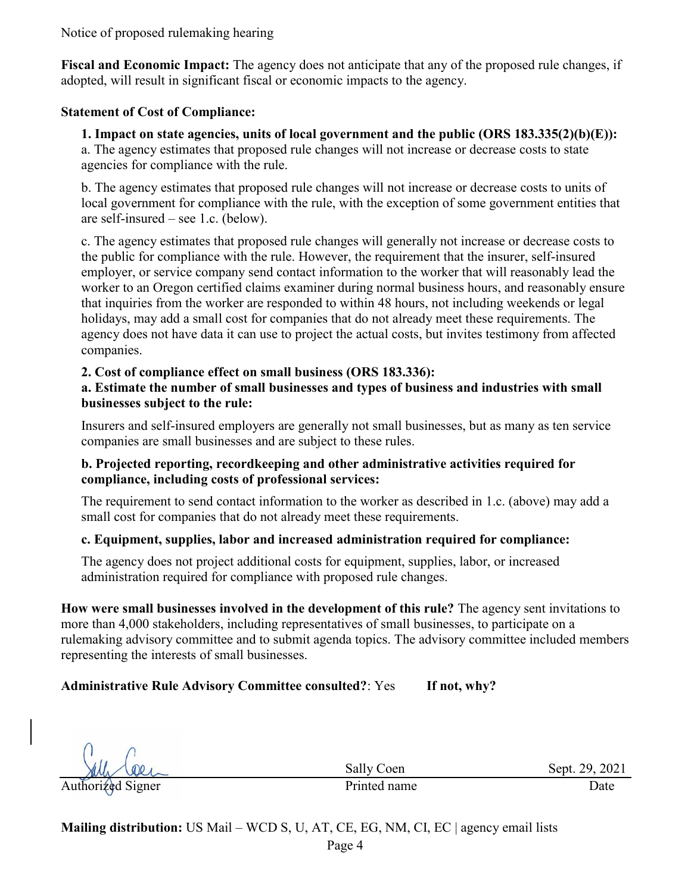Notice of proposed rulemaking hearing

**Fiscal and Economic Impact:** The agency does not anticipate that any of the proposed rule changes, if adopted, will result in significant fiscal or economic impacts to the agency.

# **Statement of Cost of Compliance:**

**1. Impact on state agencies, units of local government and the public (ORS 183.335(2)(b)(E)):**  a. The agency estimates that proposed rule changes will not increase or decrease costs to state agencies for compliance with the rule.

b. The agency estimates that proposed rule changes will not increase or decrease costs to units of local government for compliance with the rule, with the exception of some government entities that are self-insured – see 1.c. (below).

c. The agency estimates that proposed rule changes will generally not increase or decrease costs to the public for compliance with the rule. However, the requirement that the insurer, self-insured employer, or service company send contact information to the worker that will reasonably lead the worker to an Oregon certified claims examiner during normal business hours, and reasonably ensure that inquiries from the worker are responded to within 48 hours, not including weekends or legal holidays, may add a small cost for companies that do not already meet these requirements. The agency does not have data it can use to project the actual costs, but invites testimony from affected companies.

# **2. Cost of compliance effect on small business (ORS 183.336):**

# **a. Estimate the number of small businesses and types of business and industries with small businesses subject to the rule:**

Insurers and self-insured employers are generally not small businesses, but as many as ten service companies are small businesses and are subject to these rules.

# **b. Projected reporting, recordkeeping and other administrative activities required for compliance, including costs of professional services:**

The requirement to send contact information to the worker as described in 1.c. (above) may add a small cost for companies that do not already meet these requirements.

# **c. Equipment, supplies, labor and increased administration required for compliance:**

The agency does not project additional costs for equipment, supplies, labor, or increased administration required for compliance with proposed rule changes.

**How were small businesses involved in the development of this rule?** The agency sent invitations to more than 4,000 stakeholders, including representatives of small businesses, to participate on a rulemaking advisory committee and to submit agenda topics. The advisory committee included members representing the interests of small businesses.

**Administrative Rule Advisory Committee consulted?**: Yes **If not, why?**

Sally Coen Sept. 29, 2021 Printed name Date

**Mailing distribution:** US Mail – WCD S, U, AT, CE, EG, NM, CI, EC | agency email lists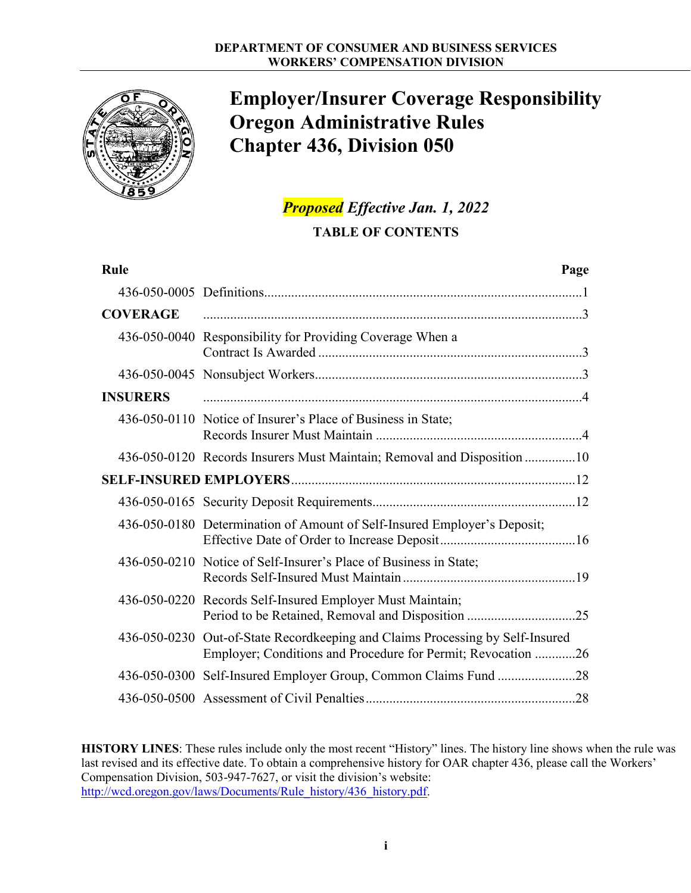<span id="page-4-0"></span>

# **F Employer/Insurer Coverage Responsibility Oregon Administrative Rules Chapter 436, Division 050**

# *Proposed Effective Jan. 1, 2022*

**TABLE OF CONTENTS**

| Rule            | Page                                                                                                                             |
|-----------------|----------------------------------------------------------------------------------------------------------------------------------|
|                 |                                                                                                                                  |
| <b>COVERAGE</b> |                                                                                                                                  |
|                 | 436-050-0040 Responsibility for Providing Coverage When a                                                                        |
|                 |                                                                                                                                  |
| <b>INSURERS</b> |                                                                                                                                  |
|                 | 436-050-0110 Notice of Insurer's Place of Business in State;                                                                     |
|                 | 436-050-0120 Records Insurers Must Maintain; Removal and Disposition 10                                                          |
|                 |                                                                                                                                  |
|                 |                                                                                                                                  |
|                 | 436-050-0180 Determination of Amount of Self-Insured Employer's Deposit;                                                         |
|                 | 436-050-0210 Notice of Self-Insurer's Place of Business in State;                                                                |
|                 | 436-050-0220 Records Self-Insured Employer Must Maintain;<br>Period to be Retained, Removal and Disposition 25                   |
| 436-050-0230    | Out-of-State Recordkeeping and Claims Processing by Self-Insured<br>Employer; Conditions and Procedure for Permit; Revocation 26 |
|                 | 436-050-0300 Self-Insured Employer Group, Common Claims Fund 28                                                                  |
|                 |                                                                                                                                  |

**HISTORY LINES**: These rules include only the most recent "History" lines. The history line shows when the rule was last revised and its effective date. To obtain a comprehensive history for OAR chapter 436, please call the Workers' Compensation Division, 503-947-7627, or visit the division's website: [http://wcd.oregon.gov/laws/Documents/Rule\\_history/436\\_history.pdf.](http://wcd.oregon.gov/laws/Documents/Rule_history/436_history.pdf)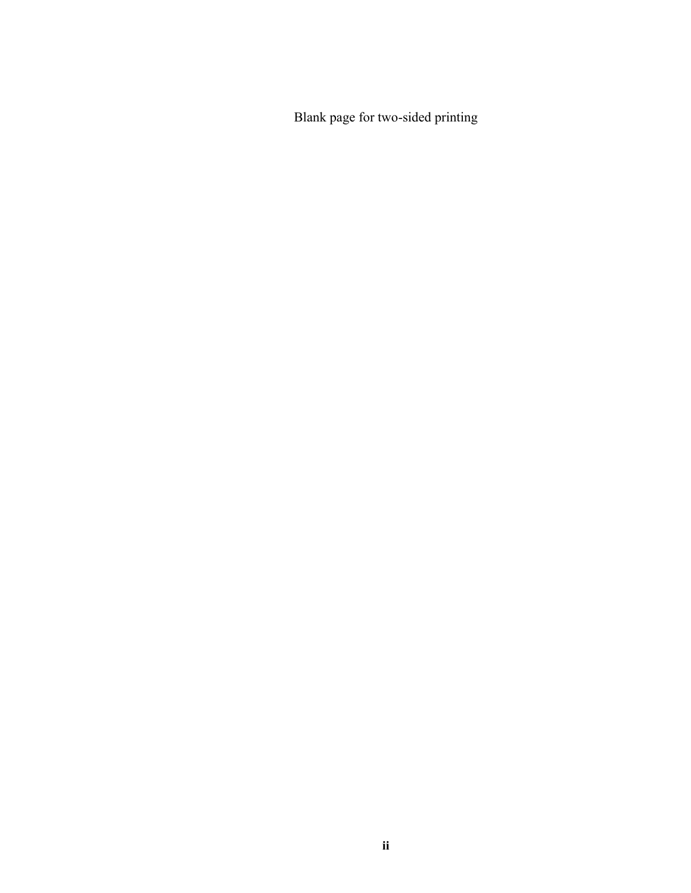Blank page for two-sided printing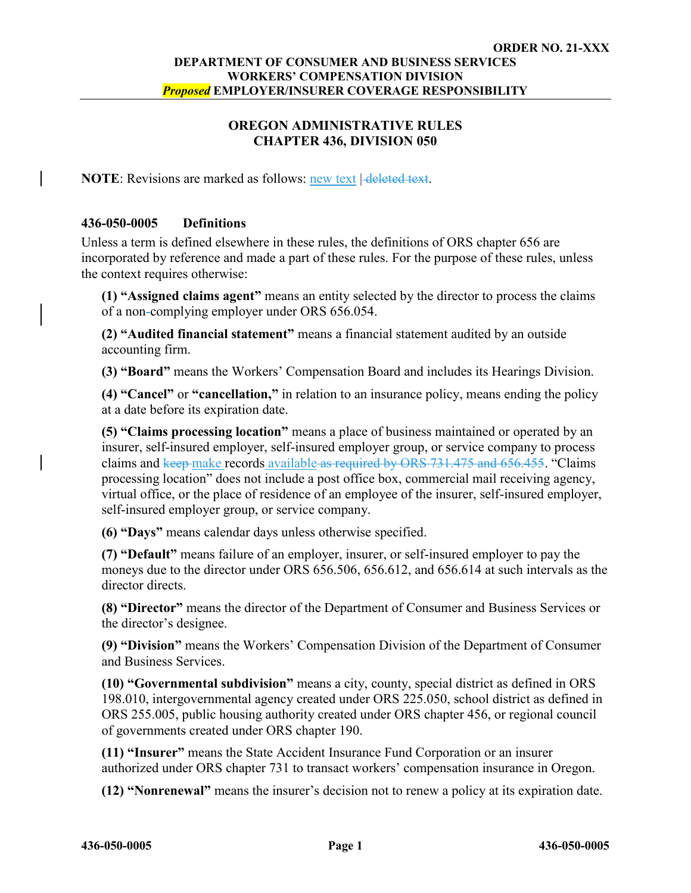# **OREGON ADMINISTRATIVE RULES CHAPTER 436, DIVISION 050**

**NOTE:** Revisions are marked as follows: new text deleted text.

# <span id="page-6-0"></span>**436-050-0005 Definitions**

Unless a term is defined elsewhere in these rules, the definitions of ORS chapter 656 are incorporated by reference and made a part of these rules. For the purpose of these rules, unless the context requires otherwise:

**(1) "Assigned claims agent"** means an entity selected by the director to process the claims of a non-complying employer under ORS 656.054.

**(2) "Audited financial statement"** means a financial statement audited by an outside accounting firm.

**(3) "Board"** means the Workers' Compensation Board and includes its Hearings Division.

**(4) "Cancel"** or **"cancellation,"** in relation to an insurance policy, means ending the policy at a date before its expiration date.

**(5) "Claims processing location"** means a place of business maintained or operated by an insurer, self-insured employer, self-insured employer group, or service company to process claims and keep make records available as required by ORS 731.475 and 656.455. "Claims processing location" does not include a post office box, commercial mail receiving agency, virtual office, or the place of residence of an employee of the insurer, self-insured employer, self-insured employer group, or service company.

**(6) "Days"** means calendar days unless otherwise specified.

**(7) "Default"** means failure of an employer, insurer, or self-insured employer to pay the moneys due to the director under ORS 656.506, 656.612, and 656.614 at such intervals as the director directs.

**(8) "Director"** means the director of the Department of Consumer and Business Services or the director's designee.

**(9) "Division"** means the Workers' Compensation Division of the Department of Consumer and Business Services.

**(10) "Governmental subdivision"** means a city, county, special district as defined in ORS 198.010, intergovernmental agency created under ORS 225.050, school district as defined in ORS 255.005, public housing authority created under ORS chapter 456, or regional council of governments created under ORS chapter 190.

**(11) "Insurer"** means the State Accident Insurance Fund Corporation or an insurer authorized under ORS chapter 731 to transact workers' compensation insurance in Oregon.

**(12) "Nonrenewal"** means the insurer's decision not to renew a policy at its expiration date.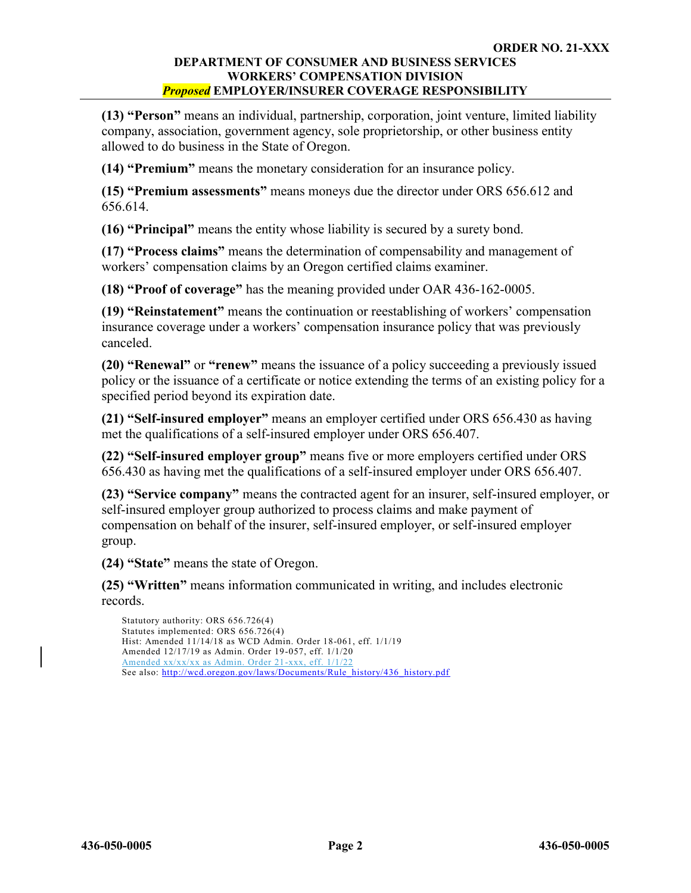**(13) "Person"** means an individual, partnership, corporation, joint venture, limited liability company, association, government agency, sole proprietorship, or other business entity allowed to do business in the State of Oregon.

**(14) "Premium"** means the monetary consideration for an insurance policy.

**(15) "Premium assessments"** means moneys due the director under ORS 656.612 and 656.614.

**(16) "Principal"** means the entity whose liability is secured by a surety bond.

**(17) "Process claims"** means the determination of compensability and management of workers' compensation claims by an Oregon certified claims examiner.

**(18) "Proof of coverage"** has the meaning provided under OAR 436-162-0005.

**(19) "Reinstatement"** means the continuation or reestablishing of workers' compensation insurance coverage under a workers' compensation insurance policy that was previously canceled.

**(20) "Renewal"** or **"renew"** means the issuance of a policy succeeding a previously issued policy or the issuance of a certificate or notice extending the terms of an existing policy for a specified period beyond its expiration date.

**(21) "Self-insured employer"** means an employer certified under ORS 656.430 as having met the qualifications of a self-insured employer under ORS 656.407.

**(22) "Self-insured employer group"** means five or more employers certified under ORS 656.430 as having met the qualifications of a self-insured employer under ORS 656.407.

**(23) "Service company"** means the contracted agent for an insurer, self-insured employer, or self-insured employer group authorized to process claims and make payment of compensation on behalf of the insurer, self-insured employer, or self-insured employer group.

**(24) "State"** means the state of Oregon.

**(25) "Written"** means information communicated in writing, and includes electronic records.

Statutory authority: ORS 656.726(4) Statutes implemented: ORS 656.726(4) Hist: Amended 11/14/18 as WCD Admin. Order 18-061, eff. 1/1/19 Amended 12/17/19 as Admin. Order 19-057, eff. 1/1/20 Amended xx/xx/xx as Admin. Order 21-xxx, eff. 1/1/22 See also: [http://wcd.oregon.gov/laws/Documents/Rule\\_history/436\\_history.pdf](http://wcd.oregon.gov/laws/Documents/Rule_history/436_history.pdf)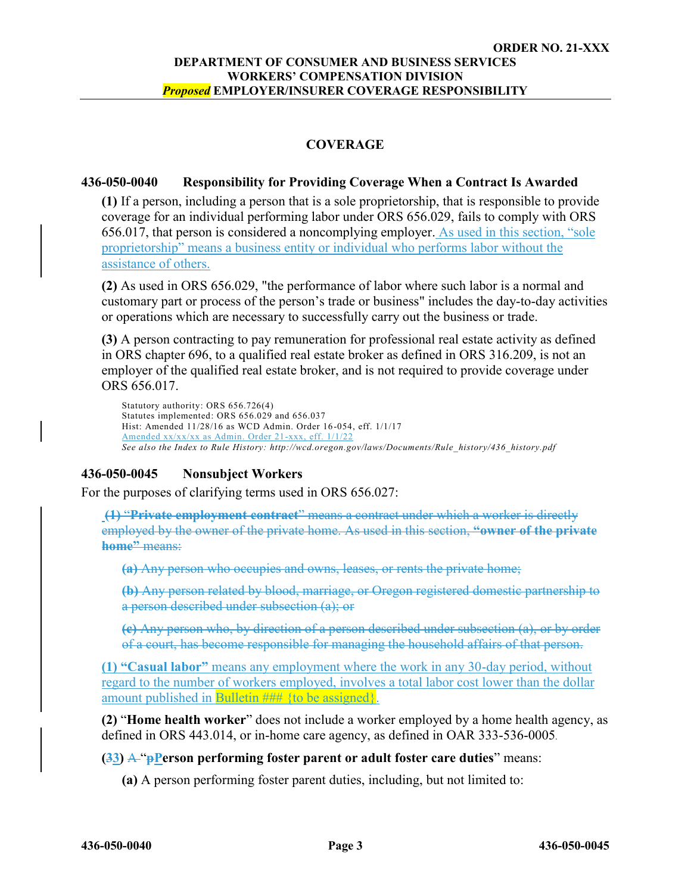# **COVERAGE**

### <span id="page-8-1"></span><span id="page-8-0"></span>**436-050-0040 Responsibility for Providing Coverage When a Contract Is Awarded**

**(1)** If a person, including a person that is a sole proprietorship, that is responsible to provide coverage for an individual performing labor under ORS 656.029, fails to comply with ORS 656.017, that person is considered a noncomplying employer. As used in this section, "sole proprietorship" means a business entity or individual who performs labor without the assistance of others.

**(2)** As used in ORS 656.029, "the performance of labor where such labor is a normal and customary part or process of the person's trade or business" includes the day-to-day activities or operations which are necessary to successfully carry out the business or trade.

**(3)** A person contracting to pay remuneration for professional real estate activity as defined in ORS chapter 696, to a qualified real estate broker as defined in ORS 316.209, is not an employer of the qualified real estate broker, and is not required to provide coverage under ORS 656.017.

Statutory authority: ORS 656.726(4) Statutes implemented: ORS 656.029 and 656.037 Hist: Amended 11/28/16 as WCD Admin. Order 16-054, eff. 1/1/17 Amended xx/xx/xx as Admin. Order 21-xxx, eff. 1/1/22 *See also the Index to Rule History: http://wcd.oregon.gov/laws/Documents/Rule\_history/436\_history.pdf*

# <span id="page-8-2"></span>**436-050-0045 Nonsubject Workers**

For the purposes of clarifying terms used in ORS 656.027:

**(1)** "**Private employment contract**" means a contract under which a worker is directly employed by the owner of the private home. As used in this section, **"owner of the private home"** means:

**(a)** Any person who occupies and owns, leases, or rents the private home;

**(b)** Any person related by blood, marriage, or Oregon registered domestic partnership to a person described under subsection (a); or

**(c)** Any person who, by direction of a person described under subsection (a), or by order of a court, has become responsible for managing the household affairs of that person.

**(1) "Casual labor"** means any employment where the work in any 30-day period, without regard to the number of workers employed, involves a total labor cost lower than the dollar amount published in Bulletin ### {to be assigned}.

**(2)** "**Home health worker**" does not include a worker employed by a home health agency, as defined in ORS 443.014, or in-home care agency, as defined in OAR 333-536-0005.

**(33)** A "**pPerson performing foster parent or adult foster care duties**" means:

**(a)** A person performing foster parent duties, including, but not limited to: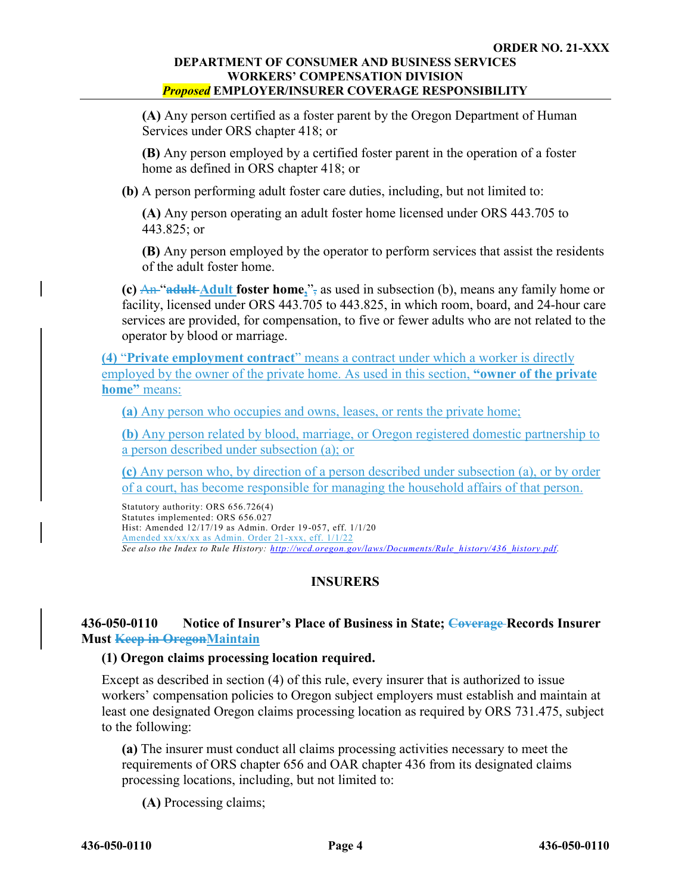**(A)** Any person certified as a foster parent by the Oregon Department of Human Services under ORS chapter 418; or

**(B)** Any person employed by a certified foster parent in the operation of a foster home as defined in ORS chapter 418; or

**(b)** A person performing adult foster care duties, including, but not limited to:

**(A)** Any person operating an adult foster home licensed under ORS 443.705 to 443.825; or

**(B)** Any person employed by the operator to perform services that assist the residents of the adult foster home.

**(c)** An "**adult Adult foster home**,", as used in subsection (b), means any family home or facility, licensed under ORS 443.705 to 443.825, in which room, board, and 24-hour care services are provided, for compensation, to five or fewer adults who are not related to the operator by blood or marriage.

**(4)** "**Private employment contract**" means a contract under which a worker is directly employed by the owner of the private home. As used in this section, **"owner of the private home"** means:

**(a)** Any person who occupies and owns, leases, or rents the private home;

**(b)** Any person related by blood, marriage, or Oregon registered domestic partnership to a person described under subsection (a); or

**(c)** Any person who, by direction of a person described under subsection (a), or by order of a court, has become responsible for managing the household affairs of that person.

Statutory authority: ORS 656.726(4) Statutes implemented: ORS 656.027 Hist: Amended 12/17/19 as Admin. Order 19-057, eff. 1/1/20 Amended xx/xx/xx as Admin. Order 21-xxx, eff. 1/1/22 *See also the Index to Rule History: [http://wcd.oregon.gov/laws/Documents/Rule\\_history/436\\_history.pdf.](http://wcd.oregon.gov/laws/Documents/Rule_history/436_history.pdf)* 

# **INSURERS**

# <span id="page-9-1"></span><span id="page-9-0"></span>**436-050-0110 Notice of Insurer's Place of Business in State; Coverage Records Insurer Must Keep in OregonMaintain**

# **(1) Oregon claims processing location required.**

Except as described in section (4) of this rule, every insurer that is authorized to issue workers' compensation policies to Oregon subject employers must establish and maintain at least one designated Oregon claims processing location as required by ORS 731.475, subject to the following:

**(a)** The insurer must conduct all claims processing activities necessary to meet the requirements of ORS chapter 656 and OAR chapter 436 from its designated claims processing locations, including, but not limited to:

**(A)** Processing claims;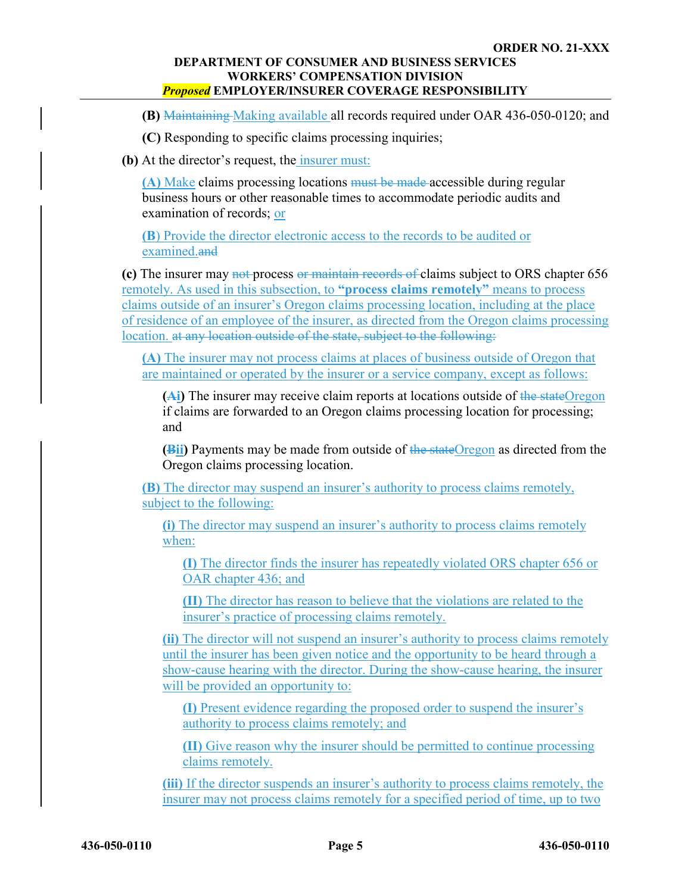**(B)** Maintaining Making available all records required under OAR 436-050-0120; and

**(C)** Responding to specific claims processing inquiries;

**(b)** At the director's request, the insurer must:

**(A)** Make claims processing locations must be made accessible during regular business hours or other reasonable times to accommodate periodic audits and examination of records; or

**(B**) Provide the director electronic access to the records to be audited or examined.and

**(c)** The insurer may not process or maintain records of claims subject to ORS chapter 656 remotely. As used in this subsection, to **"process claims remotely"** means to process claims outside of an insurer's Oregon claims processing location, including at the place of residence of an employee of the insurer, as directed from the Oregon claims processing location. at any location outside of the state, subject to the following:

**(A)** The insurer may not process claims at places of business outside of Oregon that are maintained or operated by the insurer or a service company, except as follows:

**(Ai)** The insurer may receive claim reports at locations outside of the stateOregon if claims are forwarded to an Oregon claims processing location for processing; and

**(Bii)** Payments may be made from outside of the stateOregon as directed from the Oregon claims processing location.

**(B)** The director may suspend an insurer's authority to process claims remotely, subject to the following:

**(i)** The director may suspend an insurer's authority to process claims remotely when:

**(I)** The director finds the insurer has repeatedly violated ORS chapter 656 or OAR chapter 436; and

**(II)** The director has reason to believe that the violations are related to the insurer's practice of processing claims remotely.

**(ii)** The director will not suspend an insurer's authority to process claims remotely until the insurer has been given notice and the opportunity to be heard through a show-cause hearing with the director. During the show-cause hearing, the insurer will be provided an opportunity to:

**(I)** Present evidence regarding the proposed order to suspend the insurer's authority to process claims remotely; and

**(II)** Give reason why the insurer should be permitted to continue processing claims remotely.

**(iii)** If the director suspends an insurer's authority to process claims remotely, the insurer may not process claims remotely for a specified period of time, up to two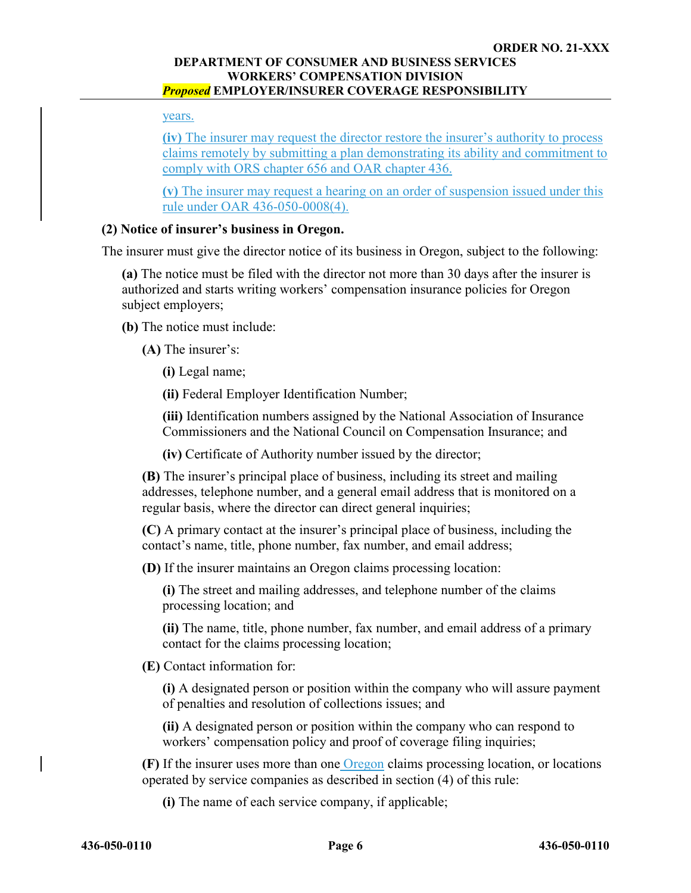### years.

**(iv)** The insurer may request the director restore the insurer's authority to process claims remotely by submitting a plan demonstrating its ability and commitment to comply with ORS chapter 656 and OAR chapter 436.

**(v)** The insurer may request a hearing on an order of suspension issued under this rule under OAR 436-050-0008(4).

### **(2) Notice of insurer's business in Oregon.**

The insurer must give the director notice of its business in Oregon, subject to the following:

**(a)** The notice must be filed with the director not more than 30 days after the insurer is authorized and starts writing workers' compensation insurance policies for Oregon subject employers;

- **(b)** The notice must include:
	- **(A)** The insurer's:

**(i)** Legal name;

**(ii)** Federal Employer Identification Number;

**(iii)** Identification numbers assigned by the National Association of Insurance Commissioners and the National Council on Compensation Insurance; and

**(iv)** Certificate of Authority number issued by the director;

**(B)** The insurer's principal place of business, including its street and mailing addresses, telephone number, and a general email address that is monitored on a regular basis, where the director can direct general inquiries;

**(C)** A primary contact at the insurer's principal place of business, including the contact's name, title, phone number, fax number, and email address;

**(D)** If the insurer maintains an Oregon claims processing location:

**(i)** The street and mailing addresses, and telephone number of the claims processing location; and

**(ii)** The name, title, phone number, fax number, and email address of a primary contact for the claims processing location;

**(E)** Contact information for:

**(i)** A designated person or position within the company who will assure payment of penalties and resolution of collections issues; and

**(ii)** A designated person or position within the company who can respond to workers' compensation policy and proof of coverage filing inquiries;

**(F)** If the insurer uses more than one Oregon claims processing location, or locations operated by service companies as described in section (4) of this rule:

**(i)** The name of each service company, if applicable;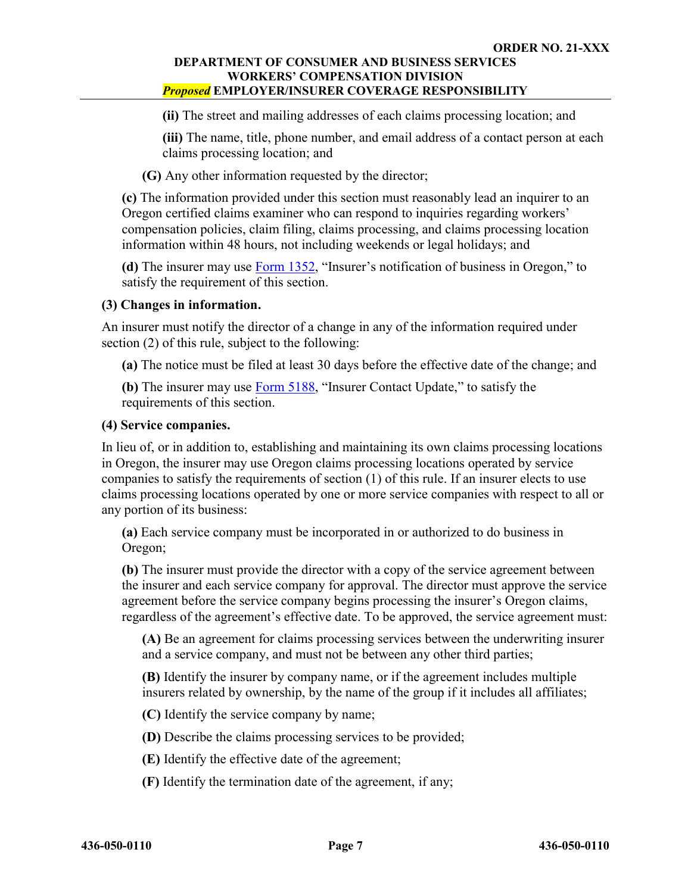**(ii)** The street and mailing addresses of each claims processing location; and

**(iii)** The name, title, phone number, and email address of a contact person at each claims processing location; and

**(G)** Any other information requested by the director;

**(c)** The information provided under this section must reasonably lead an inquirer to an Oregon certified claims examiner who can respond to inquiries regarding workers' compensation policies, claim filing, claims processing, and claims processing location information within 48 hours, not including weekends or legal holidays; and

**(d)** The insurer may use [Form 1352](https://wcd.oregon.gov/WCDForms/1352.doc), "Insurer's notification of business in Oregon," to satisfy the requirement of this section.

### **(3) Changes in information.**

An insurer must notify the director of a change in any of the information required under section (2) of this rule, subject to the following:

**(a)** The notice must be filed at least 30 days before the effective date of the change; and

**(b)** The insurer may use [Form 5188](https://wcd.oregon.gov/WCDForms/5188.doc), "Insurer Contact Update," to satisfy the requirements of this section.

### **(4) Service companies.**

In lieu of, or in addition to, establishing and maintaining its own claims processing locations in Oregon, the insurer may use Oregon claims processing locations operated by service companies to satisfy the requirements of section (1) of this rule. If an insurer elects to use claims processing locations operated by one or more service companies with respect to all or any portion of its business:

**(a)** Each service company must be incorporated in or authorized to do business in Oregon;

**(b)** The insurer must provide the director with a copy of the service agreement between the insurer and each service company for approval. The director must approve the service agreement before the service company begins processing the insurer's Oregon claims, regardless of the agreement's effective date. To be approved, the service agreement must:

**(A)** Be an agreement for claims processing services between the underwriting insurer and a service company, and must not be between any other third parties;

**(B)** Identify the insurer by company name, or if the agreement includes multiple insurers related by ownership, by the name of the group if it includes all affiliates;

**(C)** Identify the service company by name;

**(D)** Describe the claims processing services to be provided;

**(E)** Identify the effective date of the agreement;

**(F)** Identify the termination date of the agreement, if any;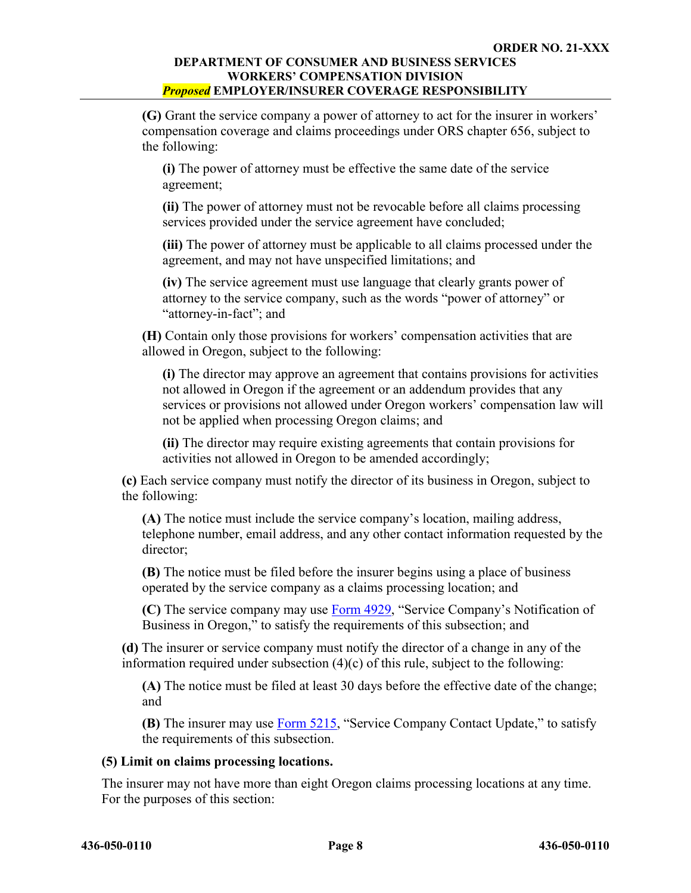**(G)** Grant the service company a power of attorney to act for the insurer in workers' compensation coverage and claims proceedings under ORS chapter 656, subject to the following:

**(i)** The power of attorney must be effective the same date of the service agreement;

**(ii)** The power of attorney must not be revocable before all claims processing services provided under the service agreement have concluded;

**(iii)** The power of attorney must be applicable to all claims processed under the agreement, and may not have unspecified limitations; and

**(iv)** The service agreement must use language that clearly grants power of attorney to the service company, such as the words "power of attorney" or "attorney-in-fact"; and

**(H)** Contain only those provisions for workers' compensation activities that are allowed in Oregon, subject to the following:

**(i)** The director may approve an agreement that contains provisions for activities not allowed in Oregon if the agreement or an addendum provides that any services or provisions not allowed under Oregon workers' compensation law will not be applied when processing Oregon claims; and

**(ii)** The director may require existing agreements that contain provisions for activities not allowed in Oregon to be amended accordingly;

**(c)** Each service company must notify the director of its business in Oregon, subject to the following:

**(A)** The notice must include the service company's location, mailing address, telephone number, email address, and any other contact information requested by the director;

**(B)** The notice must be filed before the insurer begins using a place of business operated by the service company as a claims processing location; and

**(C)** The service company may use [Form 4929](https://wcd.oregon.gov/WCDForms/4929.doc), "Service Company's Notification of Business in Oregon," to satisfy the requirements of this subsection; and

**(d)** The insurer or service company must notify the director of a change in any of the information required under subsection (4)(c) of this rule, subject to the following:

**(A)** The notice must be filed at least 30 days before the effective date of the change; and

**(B)** The insurer may use **Form 5215**, "Service Company Contact Update," to satisfy the requirements of this subsection.

# **(5) Limit on claims processing locations.**

The insurer may not have more than eight Oregon claims processing locations at any time. For the purposes of this section: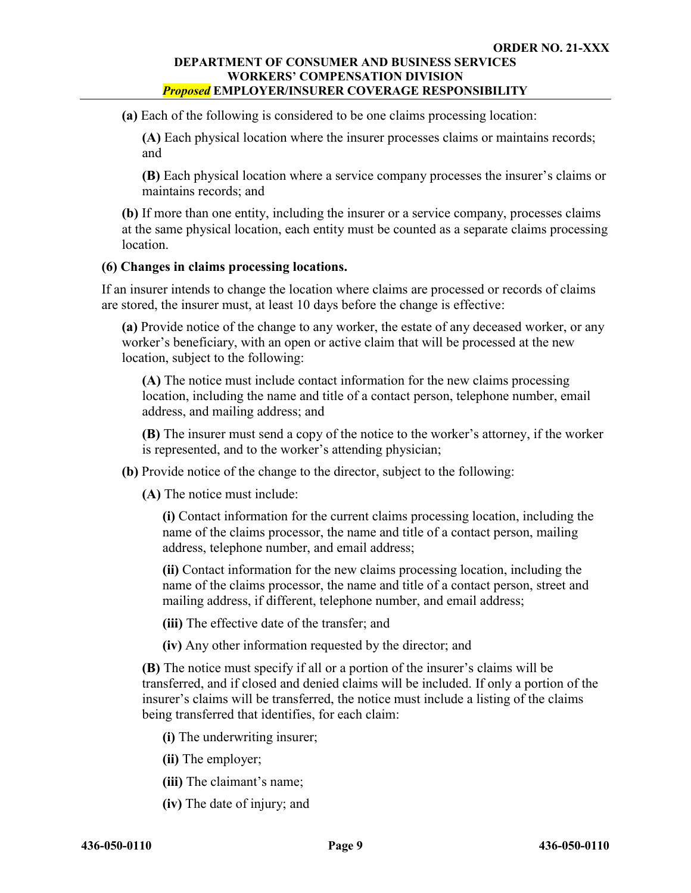**(a)** Each of the following is considered to be one claims processing location:

**(A)** Each physical location where the insurer processes claims or maintains records; and

**(B)** Each physical location where a service company processes the insurer's claims or maintains records; and

**(b)** If more than one entity, including the insurer or a service company, processes claims at the same physical location, each entity must be counted as a separate claims processing location.

### **(6) Changes in claims processing locations.**

If an insurer intends to change the location where claims are processed or records of claims are stored, the insurer must, at least 10 days before the change is effective:

**(a)** Provide notice of the change to any worker, the estate of any deceased worker, or any worker's beneficiary, with an open or active claim that will be processed at the new location, subject to the following:

**(A)** The notice must include contact information for the new claims processing location, including the name and title of a contact person, telephone number, email address, and mailing address; and

**(B)** The insurer must send a copy of the notice to the worker's attorney, if the worker is represented, and to the worker's attending physician;

**(b)** Provide notice of the change to the director, subject to the following:

**(A)** The notice must include:

**(i)** Contact information for the current claims processing location, including the name of the claims processor, the name and title of a contact person, mailing address, telephone number, and email address;

**(ii)** Contact information for the new claims processing location, including the name of the claims processor, the name and title of a contact person, street and mailing address, if different, telephone number, and email address;

**(iii)** The effective date of the transfer; and

**(iv)** Any other information requested by the director; and

**(B)** The notice must specify if all or a portion of the insurer's claims will be transferred, and if closed and denied claims will be included. If only a portion of the insurer's claims will be transferred, the notice must include a listing of the claims being transferred that identifies, for each claim:

**(i)** The underwriting insurer;

**(ii)** The employer;

- **(iii)** The claimant's name;
- **(iv)** The date of injury; and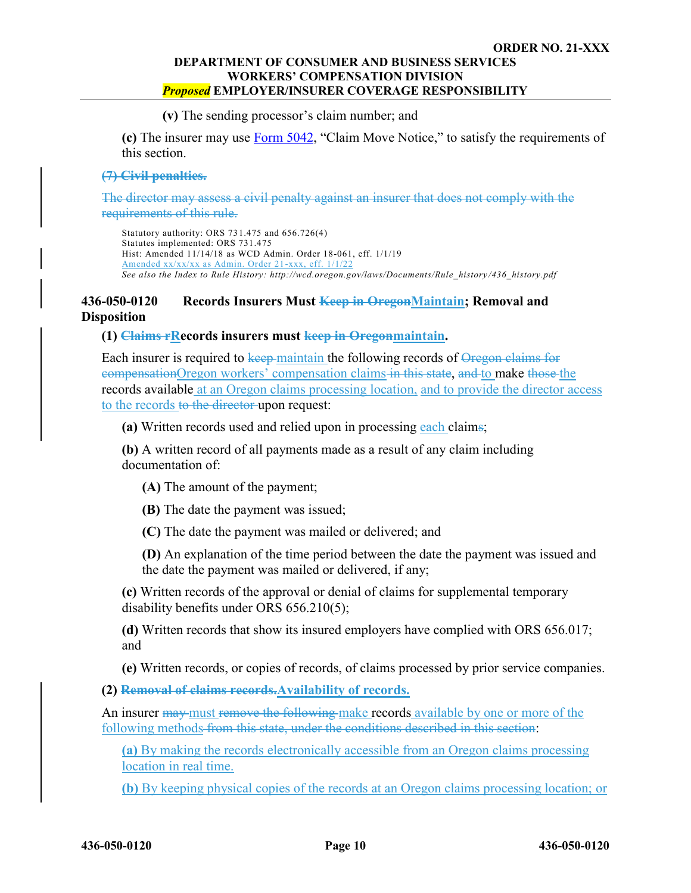**(v)** The sending processor's claim number; and

**(c)** The insurer may use [Form 5042](https://wcd.oregon.gov/WCDForms/5042.doc), "Claim Move Notice," to satisfy the requirements of this section.

#### **(7) Civil penalties.**

The director may assess a civil penalty against an insurer that does not comply with the requirements of this rule.

Statutory authority: ORS 731.475 and 656.726(4) Statutes implemented: ORS 731.475 Hist: Amended 11/14/18 as WCD Admin. Order 18-061, eff. 1/1/19 Amended xx/xx/xx as Admin. Order 21-xxx, eff. 1/1/22 *See also the Index to Rule History: http://wcd.oregon.gov/laws/Documents/Rule\_history /436\_history.pdf*

# <span id="page-15-0"></span>**436-050-0120 Records Insurers Must Keep in OregonMaintain; Removal and Disposition**

#### **(1) Claims rRecords insurers must keep in Oregonmaintain.**

Each insurer is required to keep maintain the following records of Oregon claims for compensationOregon workers' compensation claims in this state, and to make those the records available at an Oregon claims processing location, and to provide the director access to the records to the director upon request:

**(a)** Written records used and relied upon in processing each claims;

**(b)** A written record of all payments made as a result of any claim including documentation of:

**(A)** The amount of the payment;

**(B)** The date the payment was issued;

**(C)** The date the payment was mailed or delivered; and

**(D)** An explanation of the time period between the date the payment was issued and the date the payment was mailed or delivered, if any;

**(c)** Written records of the approval or denial of claims for supplemental temporary disability benefits under ORS 656.210(5);

**(d)** Written records that show its insured employers have complied with ORS 656.017; and

**(e)** Written records, or copies of records, of claims processed by prior service companies.

**(2) Removal of claims records.Availability of records.**

An insurer may must remove the following make records available by one or more of the following methods from this state, under the conditions described in this section:

**(a)** By making the records electronically accessible from an Oregon claims processing location in real time.

**(b)** By keeping physical copies of the records at an Oregon claims processing location; or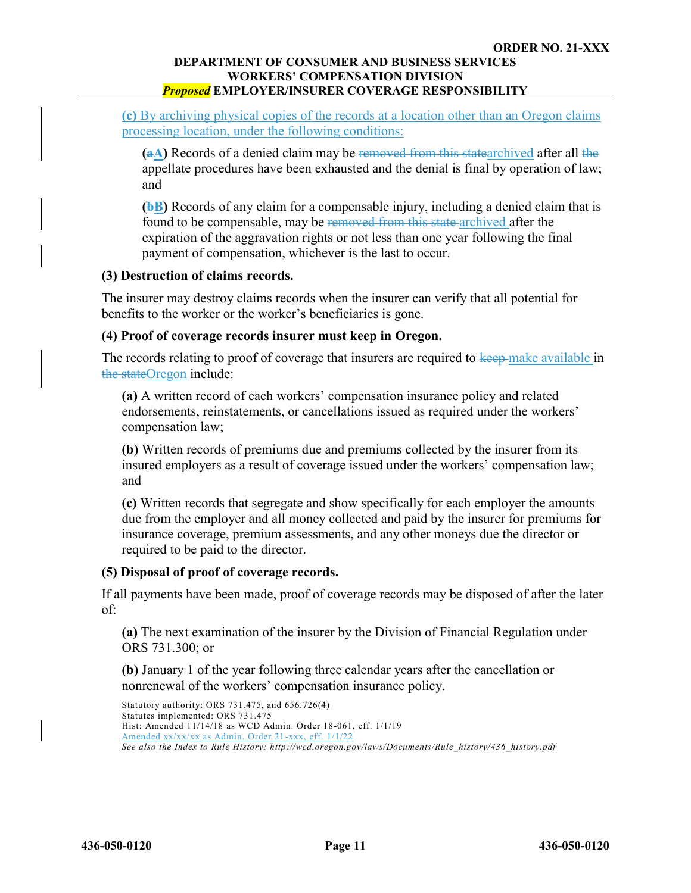**(c)** By archiving physical copies of the records at a location other than an Oregon claims processing location, under the following conditions:

**(aA)** Records of a denied claim may be removed from this statearchived after all the appellate procedures have been exhausted and the denial is final by operation of law; and

**(bB)** Records of any claim for a compensable injury, including a denied claim that is found to be compensable, may be removed from this state archived after the expiration of the aggravation rights or not less than one year following the final payment of compensation, whichever is the last to occur.

### **(3) Destruction of claims records.**

The insurer may destroy claims records when the insurer can verify that all potential for benefits to the worker or the worker's beneficiaries is gone.

### **(4) Proof of coverage records insurer must keep in Oregon.**

The records relating to proof of coverage that insurers are required to keep make available in the stateOregon include:

**(a)** A written record of each workers' compensation insurance policy and related endorsements, reinstatements, or cancellations issued as required under the workers' compensation law;

**(b)** Written records of premiums due and premiums collected by the insurer from its insured employers as a result of coverage issued under the workers' compensation law; and

**(c)** Written records that segregate and show specifically for each employer the amounts due from the employer and all money collected and paid by the insurer for premiums for insurance coverage, premium assessments, and any other moneys due the director or required to be paid to the director.

# **(5) Disposal of proof of coverage records.**

If all payments have been made, proof of coverage records may be disposed of after the later of:

**(a)** The next examination of the insurer by the Division of Financial Regulation under ORS 731.300; or

**(b)** January 1 of the year following three calendar years after the cancellation or nonrenewal of the workers' compensation insurance policy.

```
Statutory authority: ORS 731.475, and 656.726(4)
Statutes implemented: ORS 731.475
Hist: Amended 11/14/18 as WCD Admin. Order 18-061, eff. 1/1/19
Amended xx/xx/xx as Admin. Order 21-xxx, eff. 1/1/22
See also the Index to Rule History: http://wcd.oregon.gov/laws/Documents/Rule_history/436_history.pdf
```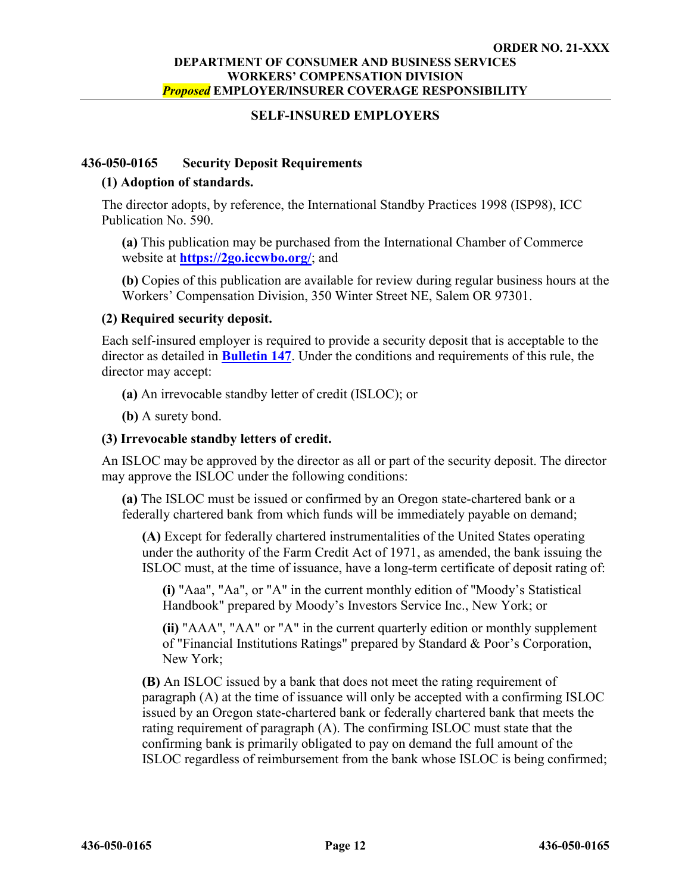### **SELF-INSURED EMPLOYERS**

### <span id="page-17-1"></span><span id="page-17-0"></span>**436-050-0165 Security Deposit Requirements**

### **(1) Adoption of standards.**

The director adopts, by reference, the International Standby Practices 1998 (ISP98), ICC Publication No. 590.

**(a)** This publication may be purchased from the International Chamber of Commerce website at **<https://2go.iccwbo.org/>**; and

**(b)** Copies of this publication are available for review during regular business hours at the Workers' Compensation Division, 350 Winter Street NE, Salem OR 97301.

### **(2) Required security deposit.**

Each self-insured employer is required to provide a security deposit that is acceptable to the director as detailed in **[Bulletin 147](https://wcd.oregon.gov/Bulletins/bul_147.pdf)**. Under the conditions and requirements of this rule, the director may accept:

**(a)** An irrevocable standby letter of credit (ISLOC); or

**(b)** A surety bond.

### **(3) Irrevocable standby letters of credit.**

An ISLOC may be approved by the director as all or part of the security deposit. The director may approve the ISLOC under the following conditions:

**(a)** The ISLOC must be issued or confirmed by an Oregon state-chartered bank or a federally chartered bank from which funds will be immediately payable on demand;

**(A)** Except for federally chartered instrumentalities of the United States operating under the authority of the Farm Credit Act of 1971, as amended, the bank issuing the ISLOC must, at the time of issuance, have a long-term certificate of deposit rating of:

**(i)** "Aaa", "Aa", or "A" in the current monthly edition of "Moody's Statistical Handbook" prepared by Moody's Investors Service Inc., New York; or

**(ii)** "AAA", "AA" or "A" in the current quarterly edition or monthly supplement of "Financial Institutions Ratings" prepared by Standard & Poor's Corporation, New York;

**(B)** An ISLOC issued by a bank that does not meet the rating requirement of paragraph (A) at the time of issuance will only be accepted with a confirming ISLOC issued by an Oregon state-chartered bank or federally chartered bank that meets the rating requirement of paragraph  $(A)$ . The confirming ISLOC must state that the confirming bank is primarily obligated to pay on demand the full amount of the ISLOC regardless of reimbursement from the bank whose ISLOC is being confirmed;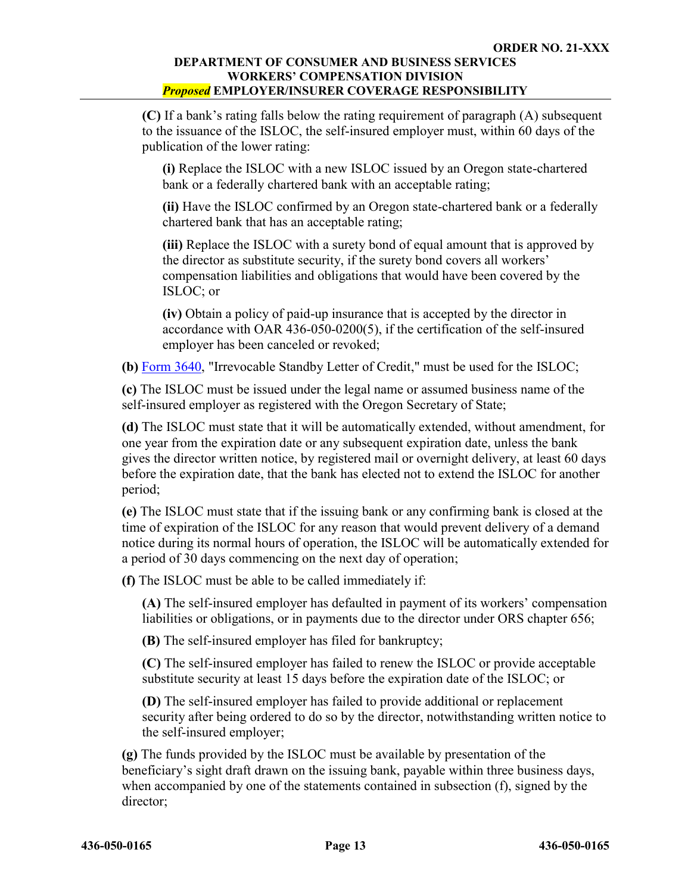**(C)** If a bank's rating falls below the rating requirement of paragraph (A) subsequent to the issuance of the ISLOC, the self-insured employer must, within 60 days of the publication of the lower rating:

**(i)** Replace the ISLOC with a new ISLOC issued by an Oregon state-chartered bank or a federally chartered bank with an acceptable rating;

**(ii)** Have the ISLOC confirmed by an Oregon state-chartered bank or a federally chartered bank that has an acceptable rating;

**(iii)** Replace the ISLOC with a surety bond of equal amount that is approved by the director as substitute security, if the surety bond covers all workers' compensation liabilities and obligations that would have been covered by the ISLOC; or

**(iv)** Obtain a policy of paid-up insurance that is accepted by the director in accordance with OAR 436-050-0200(5), if the certification of the self-insured employer has been canceled or revoked;

**(b)** [Form 3640,](https://wcd.oregon.gov/WCDForms/3640.doc) "Irrevocable Standby Letter of Credit," must be used for the ISLOC;

**(c)** The ISLOC must be issued under the legal name or assumed business name of the self-insured employer as registered with the Oregon Secretary of State;

**(d)** The ISLOC must state that it will be automatically extended, without amendment, for one year from the expiration date or any subsequent expiration date, unless the bank gives the director written notice, by registered mail or overnight delivery, at least 60 days before the expiration date, that the bank has elected not to extend the ISLOC for another period;

**(e)** The ISLOC must state that if the issuing bank or any confirming bank is closed at the time of expiration of the ISLOC for any reason that would prevent delivery of a demand notice during its normal hours of operation, the ISLOC will be automatically extended for a period of 30 days commencing on the next day of operation;

**(f)** The ISLOC must be able to be called immediately if:

**(A)** The self-insured employer has defaulted in payment of its workers' compensation liabilities or obligations, or in payments due to the director under ORS chapter 656;

**(B)** The self-insured employer has filed for bankruptcy;

**(C)** The self-insured employer has failed to renew the ISLOC or provide acceptable substitute security at least 15 days before the expiration date of the ISLOC; or

**(D)** The self-insured employer has failed to provide additional or replacement security after being ordered to do so by the director, notwithstanding written notice to the self-insured employer;

**(g)** The funds provided by the ISLOC must be available by presentation of the beneficiary's sight draft drawn on the issuing bank, payable within three business days, when accompanied by one of the statements contained in subsection (f), signed by the director;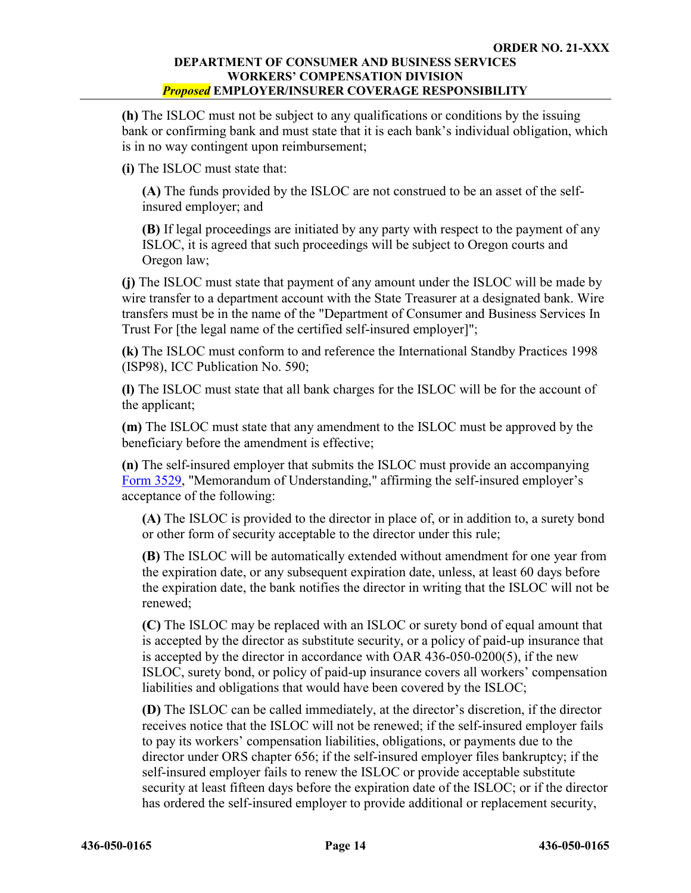**(h)** The ISLOC must not be subject to any qualifications or conditions by the issuing bank or confirming bank and must state that it is each bank's individual obligation, which is in no way contingent upon reimbursement;

**(i)** The ISLOC must state that:

**(A)** The funds provided by the ISLOC are not construed to be an asset of the selfinsured employer; and

**(B)** If legal proceedings are initiated by any party with respect to the payment of any ISLOC, it is agreed that such proceedings will be subject to Oregon courts and Oregon law;

**(j)** The ISLOC must state that payment of any amount under the ISLOC will be made by wire transfer to a department account with the State Treasurer at a designated bank. Wire transfers must be in the name of the "Department of Consumer and Business Services In Trust For [the legal name of the certified self-insured employer]";

**(k)** The ISLOC must conform to and reference the International Standby Practices 1998 (ISP98), ICC Publication No. 590;

**(l)** The ISLOC must state that all bank charges for the ISLOC will be for the account of the applicant;

**(m)** The ISLOC must state that any amendment to the ISLOC must be approved by the beneficiary before the amendment is effective;

**(n)** The self-insured employer that submits the ISLOC must provide an accompanying [Form 3529,](https://wcd.oregon.gov/WCDForms/3529.doc) "Memorandum of Understanding," affirming the self-insured employer's acceptance of the following:

**(A)** The ISLOC is provided to the director in place of, or in addition to, a surety bond or other form of security acceptable to the director under this rule;

**(B)** The ISLOC will be automatically extended without amendment for one year from the expiration date, or any subsequent expiration date, unless, at least 60 days before the expiration date, the bank notifies the director in writing that the ISLOC will not be renewed;

**(C)** The ISLOC may be replaced with an ISLOC or surety bond of equal amount that is accepted by the director as substitute security, or a policy of paid-up insurance that is accepted by the director in accordance with OAR 436-050-0200(5), if the new ISLOC, surety bond, or policy of paid-up insurance covers all workers' compensation liabilities and obligations that would have been covered by the ISLOC;

**(D)** The ISLOC can be called immediately, at the director's discretion, if the director receives notice that the ISLOC will not be renewed; if the self-insured employer fails to pay its workers' compensation liabilities, obligations, or payments due to the director under ORS chapter 656; if the self-insured employer files bankruptcy; if the self-insured employer fails to renew the ISLOC or provide acceptable substitute security at least fifteen days before the expiration date of the ISLOC; or if the director has ordered the self-insured employer to provide additional or replacement security,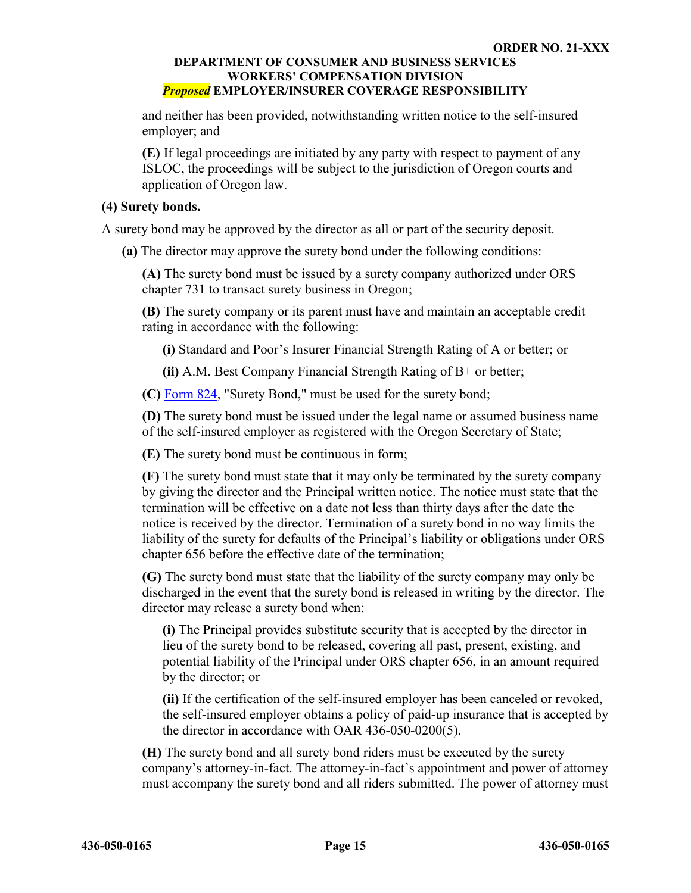and neither has been provided, notwithstanding written notice to the self-insured employer; and

**(E)** If legal proceedings are initiated by any party with respect to payment of any ISLOC, the proceedings will be subject to the jurisdiction of Oregon courts and application of Oregon law.

### **(4) Surety bonds.**

A surety bond may be approved by the director as all or part of the security deposit.

**(a)** The director may approve the surety bond under the following conditions:

**(A)** The surety bond must be issued by a surety company authorized under ORS chapter 731 to transact surety business in Oregon;

**(B)** The surety company or its parent must have and maintain an acceptable credit rating in accordance with the following:

**(i)** Standard and Poor's Insurer Financial Strength Rating of A or better; or

**(ii)** A.M. Best Company Financial Strength Rating of B+ or better;

**(C)** [Form 824,](https://wcd.oregon.gov/WCDForms/824.doc) "Surety Bond," must be used for the surety bond;

**(D)** The surety bond must be issued under the legal name or assumed business name of the self-insured employer as registered with the Oregon Secretary of State;

**(E)** The surety bond must be continuous in form;

**(F)** The surety bond must state that it may only be terminated by the surety company by giving the director and the Principal written notice. The notice must state that the termination will be effective on a date not less than thirty days after the date the notice is received by the director. Termination of a surety bond in no way limits the liability of the surety for defaults of the Principal's liability or obligations under ORS chapter 656 before the effective date of the termination;

**(G)** The surety bond must state that the liability of the surety company may only be discharged in the event that the surety bond is released in writing by the director. The director may release a surety bond when:

**(i)** The Principal provides substitute security that is accepted by the director in lieu of the surety bond to be released, covering all past, present, existing, and potential liability of the Principal under ORS chapter 656, in an amount required by the director; or

**(ii)** If the certification of the self-insured employer has been canceled or revoked, the self-insured employer obtains a policy of paid-up insurance that is accepted by the director in accordance with OAR 436-050-0200(5).

**(H)** The surety bond and all surety bond riders must be executed by the surety company's attorney-in-fact. The attorney-in-fact's appointment and power of attorney must accompany the surety bond and all riders submitted. The power of attorney must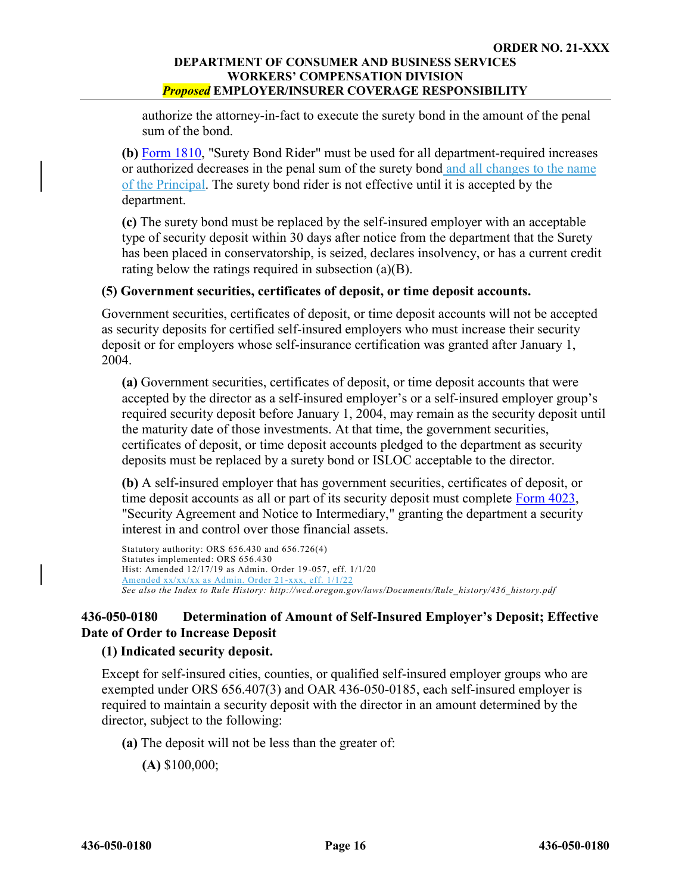authorize the attorney-in-fact to execute the surety bond in the amount of the penal sum of the bond.

**(b)** [Form 1810,](https://wcd.oregon.gov/WCDForms/1810.doc) "Surety Bond Rider" must be used for all department-required increases or authorized decreases in the penal sum of the surety bond and all changes to the name of the Principal. The surety bond rider is not effective until it is accepted by the department.

**(c)** The surety bond must be replaced by the self-insured employer with an acceptable type of security deposit within 30 days after notice from the department that the Surety has been placed in conservatorship, is seized, declares insolvency, or has a current credit rating below the ratings required in subsection (a)(B).

### **(5) Government securities, certificates of deposit, or time deposit accounts.**

Government securities, certificates of deposit, or time deposit accounts will not be accepted as security deposits for certified self-insured employers who must increase their security deposit or for employers whose self-insurance certification was granted after January 1, 2004.

**(a)** Government securities, certificates of deposit, or time deposit accounts that were accepted by the director as a self-insured employer's or a self-insured employer group's required security deposit before January 1, 2004, may remain as the security deposit until the maturity date of those investments. At that time, the government securities, certificates of deposit, or time deposit accounts pledged to the department as security deposits must be replaced by a surety bond or ISLOC acceptable to the director.

**(b)** A self-insured employer that has government securities, certificates of deposit, or time deposit accounts as all or part of its security deposit must complete [Form 4023,](https://wcd.oregon.gov/WCDForms/4023.doc) "Security Agreement and Notice to Intermediary," granting the department a security interest in and control over those financial assets.

Statutory authority: ORS 656.430 and 656.726(4) Statutes implemented: ORS 656.430 Hist: Amended 12/17/19 as Admin. Order 19-057, eff. 1/1/20 Amended xx/xx/xx as Admin. Order 21-xxx, eff. 1/1/22 *See also the Index to Rule History: http://wcd.oregon.gov/laws/Documents/Rule\_history/436\_history.pdf*

# <span id="page-21-0"></span>**436-050-0180 Determination of Amount of Self-Insured Employer's Deposit; Effective Date of Order to Increase Deposit**

# **(1) Indicated security deposit.**

Except for self-insured cities, counties, or qualified self-insured employer groups who are exempted under ORS 656.407(3) and OAR 436-050-0185, each self-insured employer is required to maintain a security deposit with the director in an amount determined by the director, subject to the following:

**(a)** The deposit will not be less than the greater of:

**(A)** \$100,000;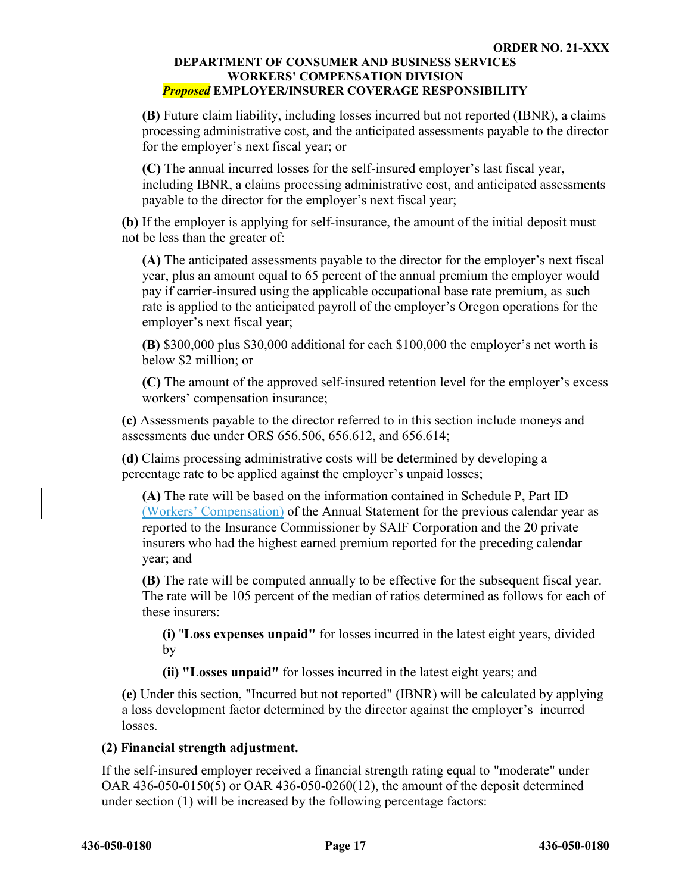**(B)** Future claim liability, including losses incurred but not reported (IBNR), a claims processing administrative cost, and the anticipated assessments payable to the director for the employer's next fiscal year; or

**(C)** The annual incurred losses for the self-insured employer's last fiscal year, including IBNR, a claims processing administrative cost, and anticipated assessments payable to the director for the employer's next fiscal year;

**(b)** If the employer is applying for self-insurance, the amount of the initial deposit must not be less than the greater of:

**(A)** The anticipated assessments payable to the director for the employer's next fiscal year, plus an amount equal to 65 percent of the annual premium the employer would pay if carrier-insured using the applicable occupational base rate premium, as such rate is applied to the anticipated payroll of the employer's Oregon operations for the employer's next fiscal year;

**(B)** \$300,000 plus \$30,000 additional for each \$100,000 the employer's net worth is below \$2 million; or

**(C)** The amount of the approved self-insured retention level for the employer's excess workers' compensation insurance;

**(c)** Assessments payable to the director referred to in this section include moneys and assessments due under ORS 656.506, 656.612, and 656.614;

**(d)** Claims processing administrative costs will be determined by developing a percentage rate to be applied against the employer's unpaid losses;

**(A)** The rate will be based on the information contained in Schedule P, Part ID (Workers' Compensation) of the Annual Statement for the previous calendar year as reported to the Insurance Commissioner by SAIF Corporation and the 20 private insurers who had the highest earned premium reported for the preceding calendar year; and

**(B)** The rate will be computed annually to be effective for the subsequent fiscal year. The rate will be 105 percent of the median of ratios determined as follows for each of these insurers:

**(i)** "**Loss expenses unpaid"** for losses incurred in the latest eight years, divided by

**(ii) "Losses unpaid"** for losses incurred in the latest eight years; and

**(e)** Under this section, "Incurred but not reported" (IBNR) will be calculated by applying a loss development factor determined by the director against the employer's incurred losses.

# **(2) Financial strength adjustment.**

If the self-insured employer received a financial strength rating equal to "moderate" under OAR 436-050-0150(5) or OAR 436-050-0260(12), the amount of the deposit determined under section (1) will be increased by the following percentage factors: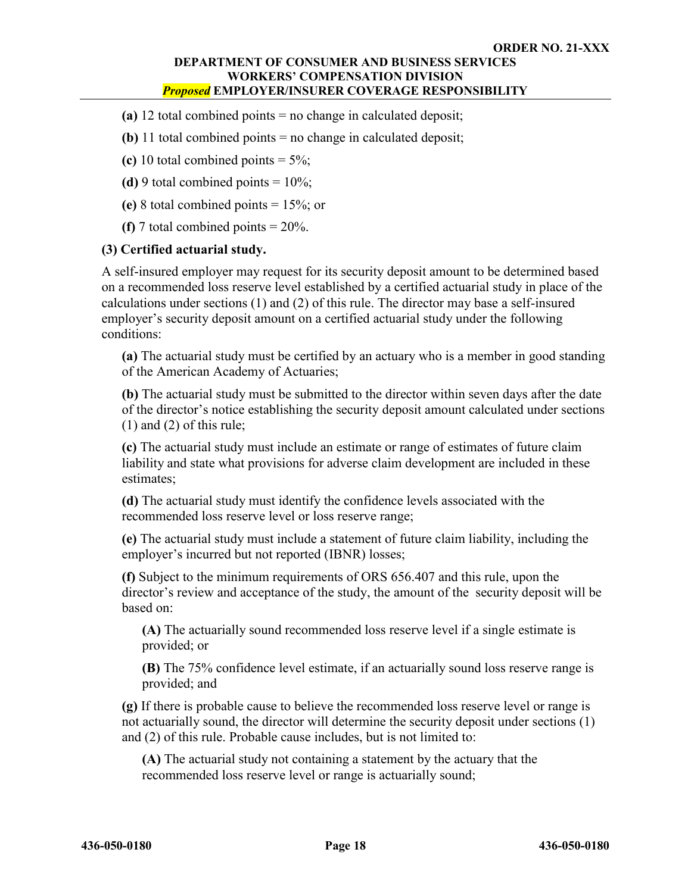- **(a)** 12 total combined points = no change in calculated deposit;
- **(b)** 11 total combined points = no change in calculated deposit;
- **(c)** 10 total combined points  $= 5\%$ ;
- **(d)** 9 total combined points  $= 10\%$ ;
- **(e)** 8 total combined points = 15%; or
- **(f)** 7 total combined points  $= 20\%$ .

### **(3) Certified actuarial study.**

A self-insured employer may request for its security deposit amount to be determined based on a recommended loss reserve level established by a certified actuarial study in place of the calculations under sections (1) and (2) of this rule. The director may base a self-insured employer's security deposit amount on a certified actuarial study under the following conditions:

**(a)** The actuarial study must be certified by an actuary who is a member in good standing of the American Academy of Actuaries;

**(b)** The actuarial study must be submitted to the director within seven days after the date of the director's notice establishing the security deposit amount calculated under sections (1) and (2) of this rule;

**(c)** The actuarial study must include an estimate or range of estimates of future claim liability and state what provisions for adverse claim development are included in these estimates;

**(d)** The actuarial study must identify the confidence levels associated with the recommended loss reserve level or loss reserve range;

**(e)** The actuarial study must include a statement of future claim liability, including the employer's incurred but not reported (IBNR) losses;

**(f)** Subject to the minimum requirements of ORS 656.407 and this rule, upon the director's review and acceptance of the study, the amount of the security deposit will be based on:

**(A)** The actuarially sound recommended loss reserve level if a single estimate is provided; or

**(B)** The 75% confidence level estimate, if an actuarially sound loss reserve range is provided; and

**(g)** If there is probable cause to believe the recommended loss reserve level or range is not actuarially sound, the director will determine the security deposit under sections (1) and (2) of this rule. Probable cause includes, but is not limited to:

**(A)** The actuarial study not containing a statement by the actuary that the recommended loss reserve level or range is actuarially sound;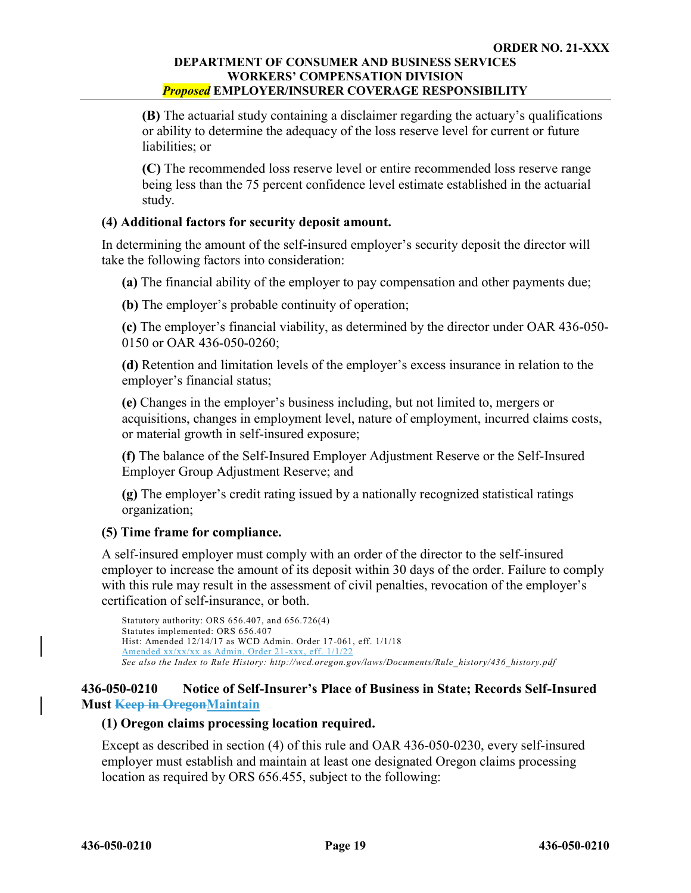**(B)** The actuarial study containing a disclaimer regarding the actuary's qualifications or ability to determine the adequacy of the loss reserve level for current or future liabilities; or

**(C)** The recommended loss reserve level or entire recommended loss reserve range being less than the 75 percent confidence level estimate established in the actuarial study.

# **(4) Additional factors for security deposit amount.**

In determining the amount of the self-insured employer's security deposit the director will take the following factors into consideration:

**(a)** The financial ability of the employer to pay compensation and other payments due;

**(b)** The employer's probable continuity of operation;

**(c)** The employer's financial viability, as determined by the director under OAR 436-050- 0150 or OAR 436-050-0260;

**(d)** Retention and limitation levels of the employer's excess insurance in relation to the employer's financial status;

**(e)** Changes in the employer's business including, but not limited to, mergers or acquisitions, changes in employment level, nature of employment, incurred claims costs, or material growth in self-insured exposure;

**(f)** The balance of the Self-Insured Employer Adjustment Reserve or the Self-Insured Employer Group Adjustment Reserve; and

**(g)** The employer's credit rating issued by a nationally recognized statistical ratings organization;

# **(5) Time frame for compliance.**

A self-insured employer must comply with an order of the director to the self-insured employer to increase the amount of its deposit within 30 days of the order. Failure to comply with this rule may result in the assessment of civil penalties, revocation of the employer's certification of self-insurance, or both.

Statutory authority: ORS 656.407, and 656.726(4) Statutes implemented: ORS 656.407 Hist: Amended 12/14/17 as WCD Admin. Order 17-061, eff. 1/1/18 Amended xx/xx/xx as Admin. Order 21-xxx, eff. 1/1/22 *See also the Index to Rule History: http://wcd.oregon.gov/laws/Documents/Rule\_history/436\_history.pdf*

# <span id="page-24-0"></span>**436-050-0210 Notice of Self-Insurer's Place of Business in State; Records Self-Insured Must Keep in OregonMaintain**

### **(1) Oregon claims processing location required.**

Except as described in section (4) of this rule and OAR 436-050-0230, every self-insured employer must establish and maintain at least one designated Oregon claims processing location as required by ORS 656.455, subject to the following: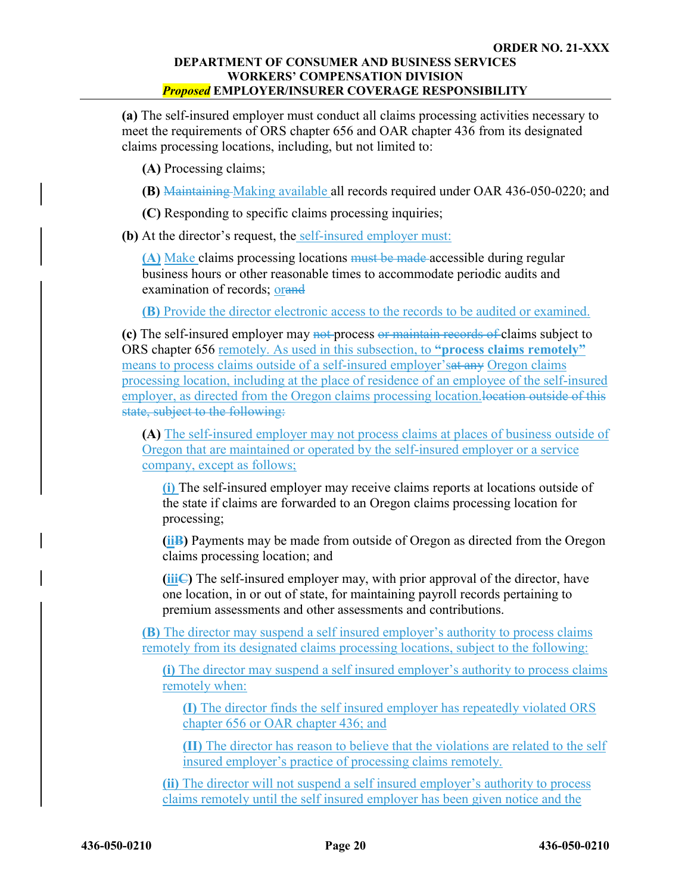**(a)** The self-insured employer must conduct all claims processing activities necessary to meet the requirements of ORS chapter 656 and OAR chapter 436 from its designated claims processing locations, including, but not limited to:

**(A)** Processing claims;

**(B)** Maintaining Making available all records required under OAR 436-050-0220; and

**(C)** Responding to specific claims processing inquiries;

**(b)** At the director's request, the self-insured employer must:

**(A)** Make claims processing locations must be made accessible during regular business hours or other reasonable times to accommodate periodic audits and examination of records; orand

**(B)** Provide the director electronic access to the records to be audited or examined.

**(c)** The self-insured employer may not process or maintain records of claims subject to ORS chapter 656 remotely. As used in this subsection, to **"process claims remotely"**  means to process claims outside of a self-insured employer's at any Oregon claims processing location, including at the place of residence of an employee of the self-insured employer, as directed from the Oregon claims processing location. Hover location outside of this state, subject to the following:

**(A)** The self-insured employer may not process claims at places of business outside of Oregon that are maintained or operated by the self-insured employer or a service company, except as follows;

**(i)** The self-insured employer may receive claims reports at locations outside of the state if claims are forwarded to an Oregon claims processing location for processing;

**(iiB)** Payments may be made from outside of Oregon as directed from the Oregon claims processing location; and

**(iiiC)** The self-insured employer may, with prior approval of the director, have one location, in or out of state, for maintaining payroll records pertaining to premium assessments and other assessments and contributions.

**(B)** The director may suspend a self insured employer's authority to process claims remotely from its designated claims processing locations, subject to the following:

**(i)** The director may suspend a self insured employer's authority to process claims remotely when:

**(I)** The director finds the self insured employer has repeatedly violated ORS chapter 656 or OAR chapter 436; and

**(II)** The director has reason to believe that the violations are related to the self insured employer's practice of processing claims remotely.

**(ii)** The director will not suspend a self insured employer's authority to process claims remotely until the self insured employer has been given notice and the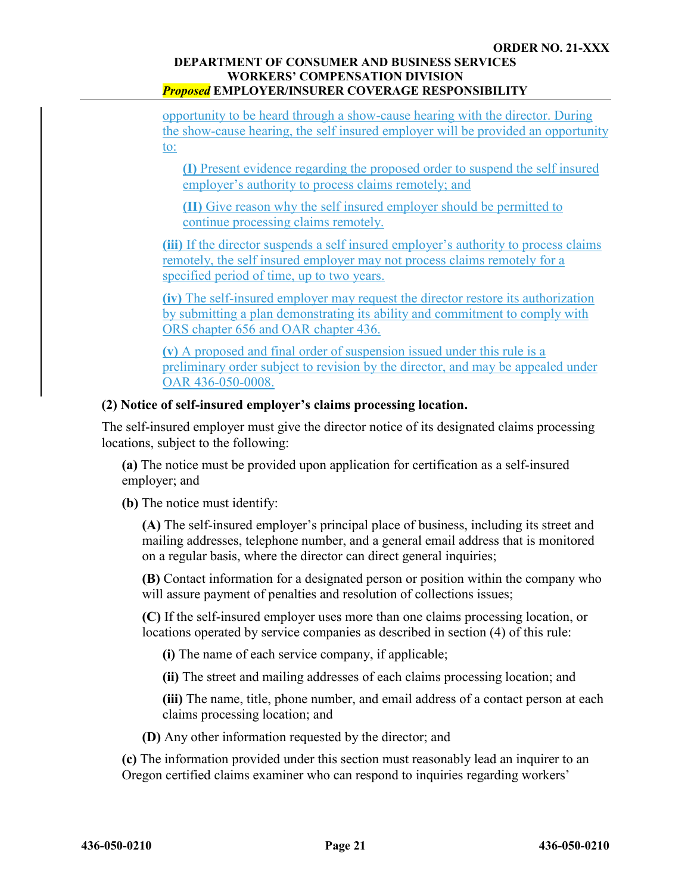opportunity to be heard through a show-cause hearing with the director. During the show-cause hearing, the self insured employer will be provided an opportunity to:

**(I)** Present evidence regarding the proposed order to suspend the self insured employer's authority to process claims remotely; and

**(II)** Give reason why the self insured employer should be permitted to continue processing claims remotely.

**(iii)** If the director suspends a self insured employer's authority to process claims remotely, the self insured employer may not process claims remotely for a specified period of time, up to two years.

**(iv)** The self-insured employer may request the director restore its authorization by submitting a plan demonstrating its ability and commitment to comply with ORS chapter 656 and OAR chapter 436.

**(v)** A proposed and final order of suspension issued under this rule is a preliminary order subject to revision by the director, and may be appealed under OAR 436-050-0008.

# **(2) Notice of self-insured employer's claims processing location.**

The self-insured employer must give the director notice of its designated claims processing locations, subject to the following:

**(a)** The notice must be provided upon application for certification as a self-insured employer; and

**(b)** The notice must identify:

**(A)** The self-insured employer's principal place of business, including its street and mailing addresses, telephone number, and a general email address that is monitored on a regular basis, where the director can direct general inquiries;

**(B)** Contact information for a designated person or position within the company who will assure payment of penalties and resolution of collections issues;

**(C)** If the self-insured employer uses more than one claims processing location, or locations operated by service companies as described in section (4) of this rule:

**(i)** The name of each service company, if applicable;

**(ii)** The street and mailing addresses of each claims processing location; and

**(iii)** The name, title, phone number, and email address of a contact person at each claims processing location; and

**(D)** Any other information requested by the director; and

**(c)** The information provided under this section must reasonably lead an inquirer to an Oregon certified claims examiner who can respond to inquiries regarding workers'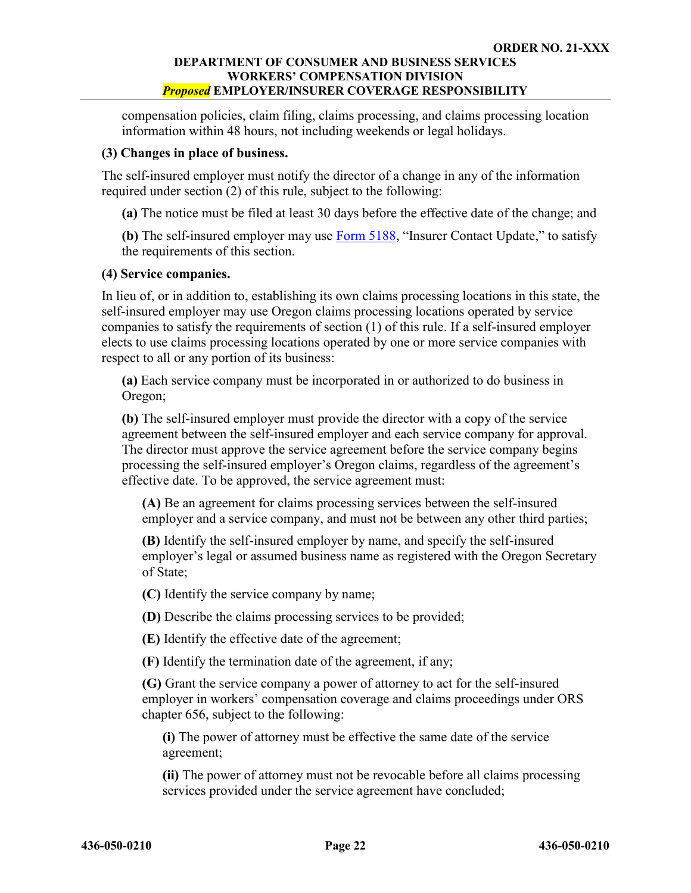compensation policies, claim filing, claims processing, and claims processing location information within 48 hours, not including weekends or legal holidays.

### **(3) Changes in place of business.**

The self-insured employer must notify the director of a change in any of the information required under section (2) of this rule, subject to the following:

**(a)** The notice must be filed at least 30 days before the effective date of the change; and

**(b)** The self-insured employer may use **Form 5188**, "Insurer Contact Update," to satisfy the requirements of this section.

### **(4) Service companies.**

In lieu of, or in addition to, establishing its own claims processing locations in this state, the self-insured employer may use Oregon claims processing locations operated by service companies to satisfy the requirements of section (1) of this rule. If a self-insured employer elects to use claims processing locations operated by one or more service companies with respect to all or any portion of its business:

**(a)** Each service company must be incorporated in or authorized to do business in Oregon;

**(b)** The self-insured employer must provide the director with a copy of the service agreement between the self-insured employer and each service company for approval. The director must approve the service agreement before the service company begins processing the self-insured employer's Oregon claims, regardless of the agreement's effective date. To be approved, the service agreement must:

**(A)** Be an agreement for claims processing services between the self-insured employer and a service company, and must not be between any other third parties;

**(B)** Identify the self-insured employer by name, and specify the self-insured employer's legal or assumed business name as registered with the Oregon Secretary of State;

**(C)** Identify the service company by name;

**(D)** Describe the claims processing services to be provided;

**(E)** Identify the effective date of the agreement;

**(F)** Identify the termination date of the agreement, if any;

**(G)** Grant the service company a power of attorney to act for the self-insured employer in workers' compensation coverage and claims proceedings under ORS chapter 656, subject to the following:

**(i)** The power of attorney must be effective the same date of the service agreement;

**(ii)** The power of attorney must not be revocable before all claims processing services provided under the service agreement have concluded;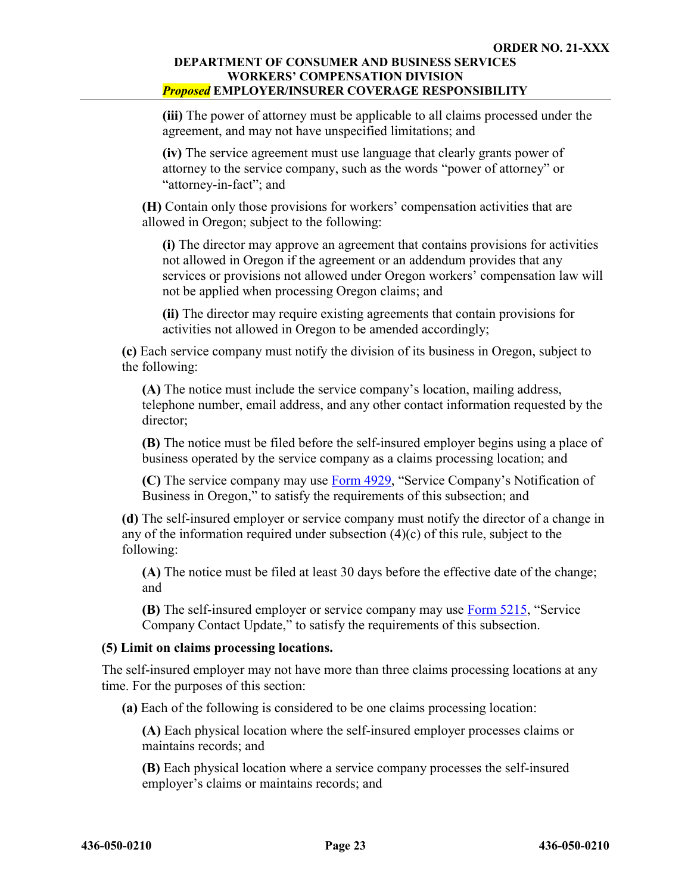**(iii)** The power of attorney must be applicable to all claims processed under the agreement, and may not have unspecified limitations; and

**(iv)** The service agreement must use language that clearly grants power of attorney to the service company, such as the words "power of attorney" or "attorney-in-fact"; and

**(H)** Contain only those provisions for workers' compensation activities that are allowed in Oregon; subject to the following:

**(i)** The director may approve an agreement that contains provisions for activities not allowed in Oregon if the agreement or an addendum provides that any services or provisions not allowed under Oregon workers' compensation law will not be applied when processing Oregon claims; and

**(ii)** The director may require existing agreements that contain provisions for activities not allowed in Oregon to be amended accordingly;

**(c)** Each service company must notify the division of its business in Oregon, subject to the following:

**(A)** The notice must include the service company's location, mailing address, telephone number, email address, and any other contact information requested by the director;

**(B)** The notice must be filed before the self-insured employer begins using a place of business operated by the service company as a claims processing location; and

**(C)** The service company may use [Form 4929](https://wcd.oregon.gov/WCDForms/4929.doc), "Service Company's Notification of Business in Oregon," to satisfy the requirements of this subsection; and

**(d)** The self-insured employer or service company must notify the director of a change in any of the information required under subsection (4)(c) of this rule, subject to the following:

**(A)** The notice must be filed at least 30 days before the effective date of the change; and

**(B)** The self-insured employer or service company may use [Form 5215](https://wcd.oregon.gov/WCDForms/5215.doc), "Service Company Contact Update," to satisfy the requirements of this subsection.

# **(5) Limit on claims processing locations.**

The self-insured employer may not have more than three claims processing locations at any time. For the purposes of this section:

**(a)** Each of the following is considered to be one claims processing location:

**(A)** Each physical location where the self-insured employer processes claims or maintains records; and

**(B)** Each physical location where a service company processes the self-insured employer's claims or maintains records; and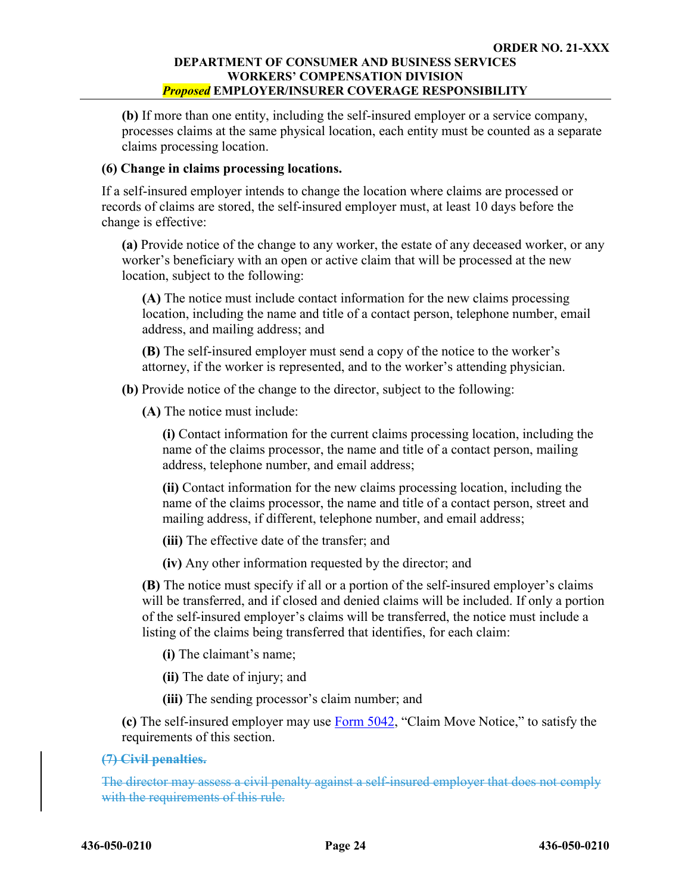**(b)** If more than one entity, including the self-insured employer or a service company, processes claims at the same physical location, each entity must be counted as a separate claims processing location.

### **(6) Change in claims processing locations.**

If a self-insured employer intends to change the location where claims are processed or records of claims are stored, the self-insured employer must, at least 10 days before the change is effective:

**(a)** Provide notice of the change to any worker, the estate of any deceased worker, or any worker's beneficiary with an open or active claim that will be processed at the new location, subject to the following:

**(A)** The notice must include contact information for the new claims processing location, including the name and title of a contact person, telephone number, email address, and mailing address; and

**(B)** The self-insured employer must send a copy of the notice to the worker's attorney, if the worker is represented, and to the worker's attending physician.

**(b)** Provide notice of the change to the director, subject to the following:

**(A)** The notice must include:

**(i)** Contact information for the current claims processing location, including the name of the claims processor, the name and title of a contact person, mailing address, telephone number, and email address;

**(ii)** Contact information for the new claims processing location, including the name of the claims processor, the name and title of a contact person, street and mailing address, if different, telephone number, and email address;

**(iii)** The effective date of the transfer; and

**(iv)** Any other information requested by the director; and

**(B)** The notice must specify if all or a portion of the self-insured employer's claims will be transferred, and if closed and denied claims will be included. If only a portion of the self-insured employer's claims will be transferred, the notice must include a listing of the claims being transferred that identifies, for each claim:

**(i)** The claimant's name;

**(ii)** The date of injury; and

**(iii)** The sending processor's claim number; and

**(c)** The self-insured employer may use [Form 5042](https://wcd.oregon.gov/WCDForms/5042.doc), "Claim Move Notice," to satisfy the requirements of this section.

# **(7) Civil penalties.**

The director may assess a civil penalty against a self-insured employer that does not comply with the requirements of this rule.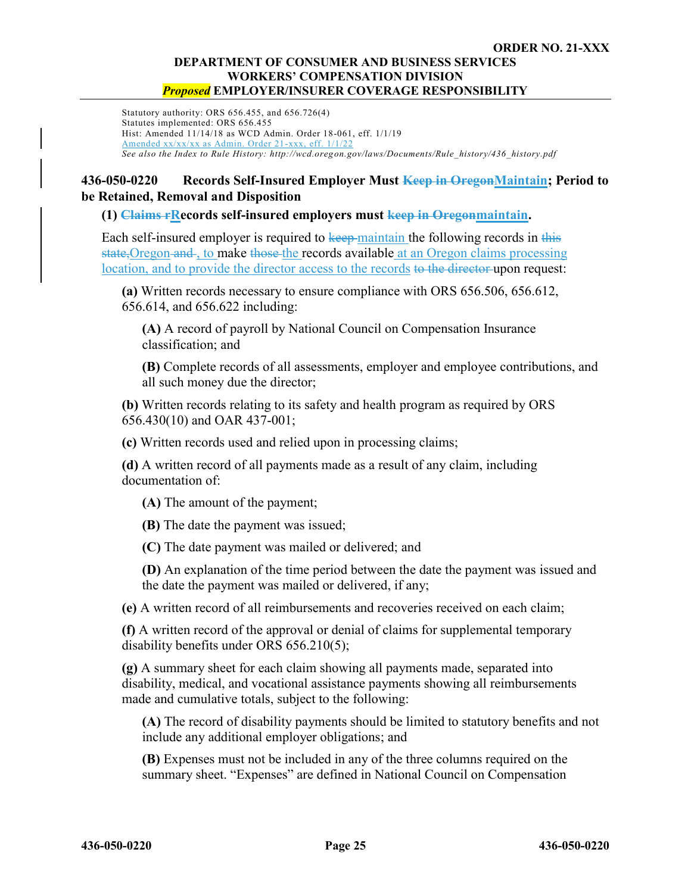Statutory authority: ORS 656.455, and 656.726(4) Statutes implemented: ORS 656.455 Hist: Amended 11/14/18 as WCD Admin. Order 18-061, eff. 1/1/19 Amended xx/xx/xx as Admin. Order 21-xxx, eff. 1/1/22 *See also the Index to Rule History: http://wcd.oregon.gov/laws/Documents/Rule\_history/436\_history.pdf*

# <span id="page-30-0"></span>**436-050-0220 Records Self-Insured Employer Must Keep in OregonMaintain; Period to be Retained, Removal and Disposition**

### **(1) Claims rRecords self-insured employers must keep in Oregonmaintain.**

Each self-insured employer is required to keep-maintain the following records in this state, Oregon and, to make those the records available at an Oregon claims processing location, and to provide the director access to the records to the director upon request:

**(a)** Written records necessary to ensure compliance with ORS 656.506, 656.612, 656.614, and 656.622 including:

**(A)** A record of payroll by National Council on Compensation Insurance classification; and

**(B)** Complete records of all assessments, employer and employee contributions, and all such money due the director;

**(b)** Written records relating to its safety and health program as required by ORS 656.430(10) and OAR 437-001;

**(c)** Written records used and relied upon in processing claims;

**(d)** A written record of all payments made as a result of any claim, including documentation of:

**(A)** The amount of the payment;

**(B)** The date the payment was issued;

**(C)** The date payment was mailed or delivered; and

**(D)** An explanation of the time period between the date the payment was issued and the date the payment was mailed or delivered, if any;

**(e)** A written record of all reimbursements and recoveries received on each claim;

**(f)** A written record of the approval or denial of claims for supplemental temporary disability benefits under ORS 656.210(5);

**(g)** A summary sheet for each claim showing all payments made, separated into disability, medical, and vocational assistance payments showing all reimbursements made and cumulative totals, subject to the following:

**(A)** The record of disability payments should be limited to statutory benefits and not include any additional employer obligations; and

**(B)** Expenses must not be included in any of the three columns required on the summary sheet. "Expenses" are defined in National Council on Compensation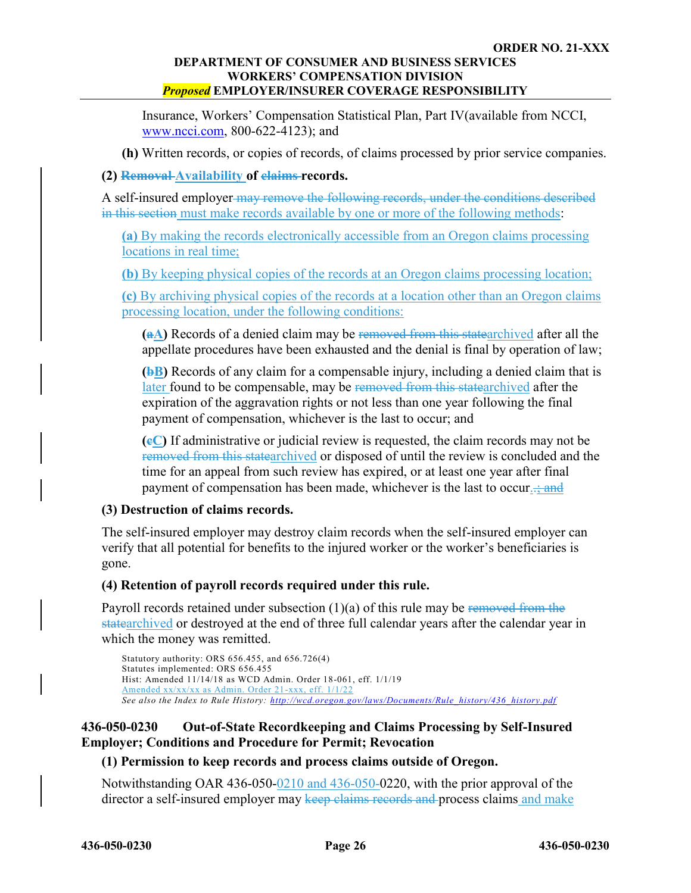Insurance, Workers' Compensation Statistical Plan, Part IV(available from NCCI, [www.ncci.com,](http://www.ncci.com/) 800-622-4123); and

**(h)** Written records, or copies of records, of claims processed by prior service companies.

# **(2) Removal Availability of claims records.**

A self-insured employer may remove the following records, under the conditions described in this section must make records available by one or more of the following methods:

**(a)** By making the records electronically accessible from an Oregon claims processing locations in real time;

**(b)** By keeping physical copies of the records at an Oregon claims processing location;

**(c)** By archiving physical copies of the records at a location other than an Oregon claims processing location, under the following conditions:

**(aA)** Records of a denied claim may be removed from this statearchived after all the appellate procedures have been exhausted and the denial is final by operation of law;

**(bB)** Records of any claim for a compensable injury, including a denied claim that is later found to be compensable, may be removed from this statearchived after the expiration of the aggravation rights or not less than one year following the final payment of compensation, whichever is the last to occur; and

**(cC)** If administrative or judicial review is requested, the claim records may not be removed from this statearchived or disposed of until the review is concluded and the time for an appeal from such review has expired, or at least one year after final payment of compensation has been made, whichever is the last to occur..; and

# **(3) Destruction of claims records.**

The self-insured employer may destroy claim records when the self-insured employer can verify that all potential for benefits to the injured worker or the worker's beneficiaries is gone.

# **(4) Retention of payroll records required under this rule.**

Payroll records retained under subsection  $(1)(a)$  of this rule may be removed from the statearchived or destroyed at the end of three full calendar years after the calendar year in which the money was remitted.

```
Statutory authority: ORS 656.455, and 656.726(4)
Statutes implemented: ORS 656.455
Hist: Amended 11/14/18 as WCD Admin. Order 18-061, eff. 1/1/19
Amended xx/xx/xx as Admin. Order 21-xxx, eff. 1/1/22
See also the Index to Rule History: http://wcd.oregon.gov/laws/Documents/Rule_history/436_history.pdf
```
# <span id="page-31-0"></span>**436-050-0230 Out-of-State Recordkeeping and Claims Processing by Self-Insured Employer; Conditions and Procedure for Permit; Revocation**

# **(1) Permission to keep records and process claims outside of Oregon.**

Notwithstanding OAR 436-050-0210 and 436-050-0220, with the prior approval of the director a self-insured employer may keep claims records and process claims and make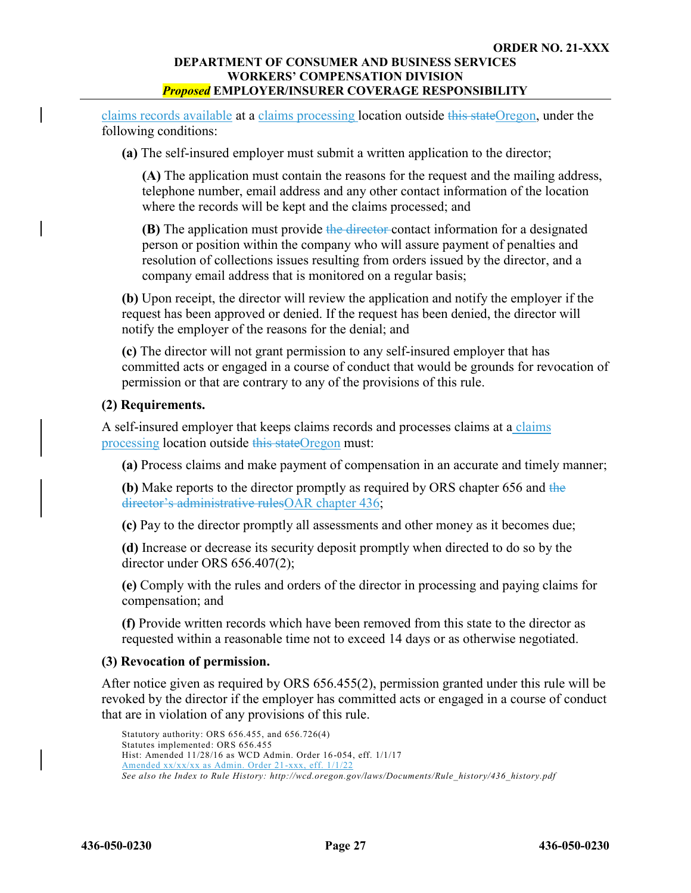claims records available at a claims processing location outside this stateOregon, under the following conditions:

**(a)** The self-insured employer must submit a written application to the director;

**(A)** The application must contain the reasons for the request and the mailing address, telephone number, email address and any other contact information of the location where the records will be kept and the claims processed; and

**(B)** The application must provide the director contact information for a designated person or position within the company who will assure payment of penalties and resolution of collections issues resulting from orders issued by the director, and a company email address that is monitored on a regular basis;

**(b)** Upon receipt, the director will review the application and notify the employer if the request has been approved or denied. If the request has been denied, the director will notify the employer of the reasons for the denial; and

**(c)** The director will not grant permission to any self-insured employer that has committed acts or engaged in a course of conduct that would be grounds for revocation of permission or that are contrary to any of the provisions of this rule.

### **(2) Requirements.**

A self-insured employer that keeps claims records and processes claims at a claims processing location outside this stateOregon must:

**(a)** Process claims and make payment of compensation in an accurate and timely manner;

**(b)** Make reports to the director promptly as required by ORS chapter 656 and the director's administrative rulesOAR chapter 436;

**(c)** Pay to the director promptly all assessments and other money as it becomes due;

**(d)** Increase or decrease its security deposit promptly when directed to do so by the director under ORS 656.407(2);

**(e)** Comply with the rules and orders of the director in processing and paying claims for compensation; and

**(f)** Provide written records which have been removed from this state to the director as requested within a reasonable time not to exceed 14 days or as otherwise negotiated.

### **(3) Revocation of permission.**

After notice given as required by ORS 656.455(2), permission granted under this rule will be revoked by the director if the employer has committed acts or engaged in a course of conduct that are in violation of any provisions of this rule.

Statutory authority: ORS 656.455, and 656.726(4) Statutes implemented: ORS 656.455 Hist: Amended 11/28/16 as WCD Admin. Order 16-054, eff. 1/1/17 Amended xx/xx/xx as Admin. Order 21-xxx, eff. 1/1/22 *See also the Index to Rule History: http://wcd.oregon.gov/laws/Documents/Rule\_history/436\_history.pdf*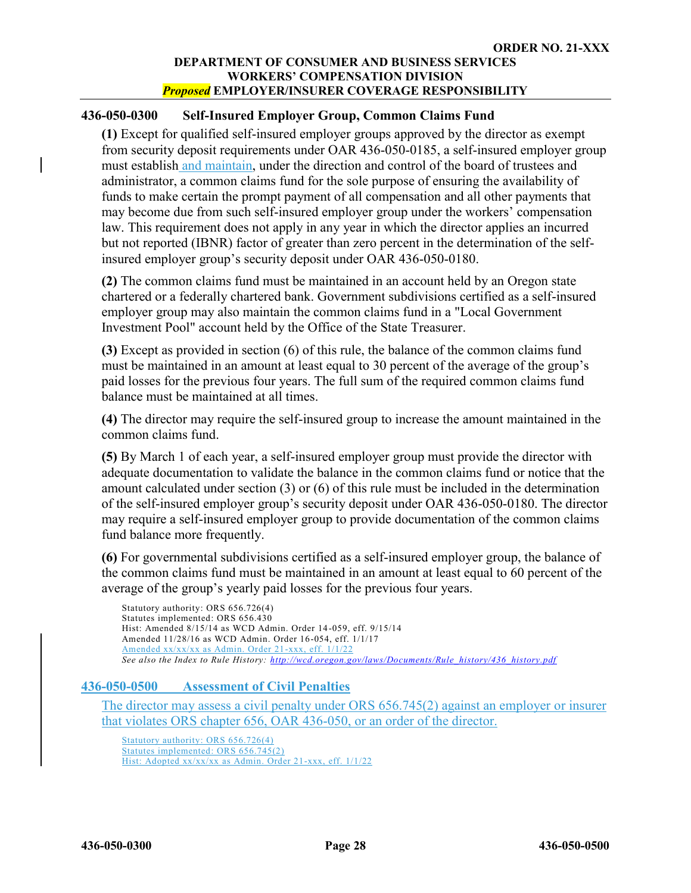# <span id="page-33-0"></span>**436-050-0300 Self-Insured Employer Group, Common Claims Fund**

**(1)** Except for qualified self-insured employer groups approved by the director as exempt from security deposit requirements under OAR 436-050-0185, a self-insured employer group must establish and maintain, under the direction and control of the board of trustees and administrator, a common claims fund for the sole purpose of ensuring the availability of funds to make certain the prompt payment of all compensation and all other payments that may become due from such self-insured employer group under the workers' compensation law. This requirement does not apply in any year in which the director applies an incurred but not reported (IBNR) factor of greater than zero percent in the determination of the selfinsured employer group's security deposit under OAR 436-050-0180.

**(2)** The common claims fund must be maintained in an account held by an Oregon state chartered or a federally chartered bank. Government subdivisions certified as a self-insured employer group may also maintain the common claims fund in a "Local Government Investment Pool" account held by the Office of the State Treasurer.

**(3)** Except as provided in section (6) of this rule, the balance of the common claims fund must be maintained in an amount at least equal to 30 percent of the average of the group's paid losses for the previous four years. The full sum of the required common claims fund balance must be maintained at all times.

**(4)** The director may require the self-insured group to increase the amount maintained in the common claims fund.

**(5)** By March 1 of each year, a self-insured employer group must provide the director with adequate documentation to validate the balance in the common claims fund or notice that the amount calculated under section (3) or (6) of this rule must be included in the determination of the self-insured employer group's security deposit under OAR 436-050-0180. The director may require a self-insured employer group to provide documentation of the common claims fund balance more frequently.

**(6)** For governmental subdivisions certified as a self-insured employer group, the balance of the common claims fund must be maintained in an amount at least equal to 60 percent of the average of the group's yearly paid losses for the previous four years.

Statutory authority: ORS 656.726(4) Statutes implemented: ORS 656.430 Hist: Amended 8/15/14 as WCD Admin. Order 14-059, eff. 9/15/14 Amended 11/28/16 as WCD Admin. Order 16-054, eff. 1/1/17 Amended xx/xx/xx as Admin. Order 21-xxx, eff. 1/1/22 *See also the Index to Rule History: [http://wcd.oregon.gov/laws/Documents/Rule\\_history/436\\_history.pdf](http://wcd.oregon.gov/laws/Documents/Rule_history/436_history.pdf)*

### <span id="page-33-1"></span>**436-050-0500 Assessment of Civil Penalties**

The director may assess a civil penalty under ORS 656.745(2) against an employer or insurer that violates ORS chapter 656, OAR 436-050, or an order of the director.

Statutory authority: ORS 656.726(4) Statutes implemented: ORS 656.745(2) Hist: Adopted xx/xx/xx as Admin. Order 21-xxx, eff. 1/1/22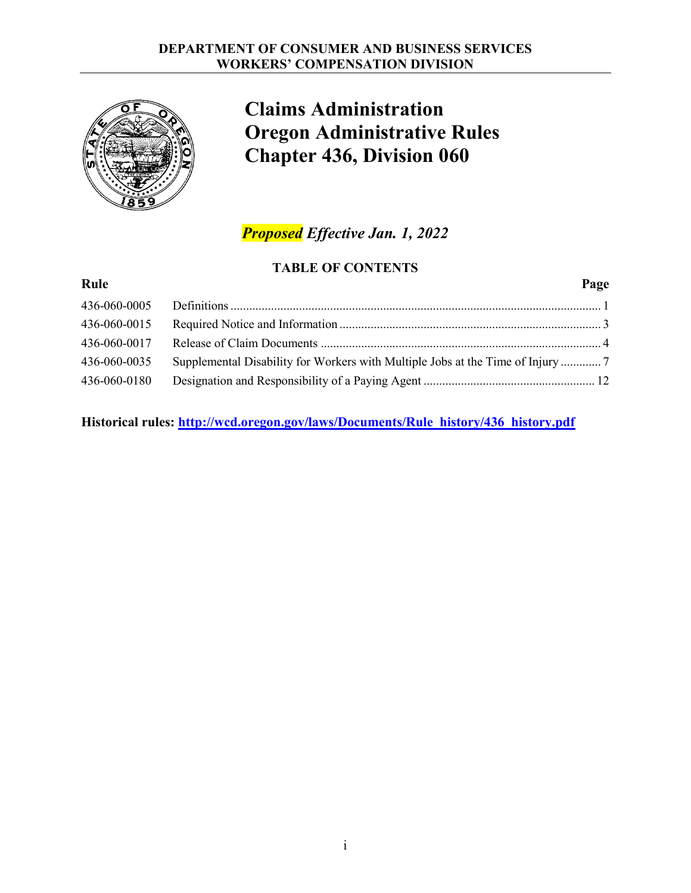<span id="page-34-0"></span>

# **Claims Administration Oregon Administrative Rules Chapter 436, Division 060**

# *Proposed Effective Jan. 1, 2022*

# **TABLE OF CONTENTS**

# **Rule Page**

| 436-060-0015 |  |
|--------------|--|
| 436-060-0017 |  |
| 436-060-0035 |  |
| 436-060-0180 |  |
|              |  |

**Historical rules: [http://wcd.oregon.gov/laws/Documents/Rule\\_history/436\\_history.pdf](http://wcd.oregon.gov/laws/Documents/Rule_history/436_history.pdf)**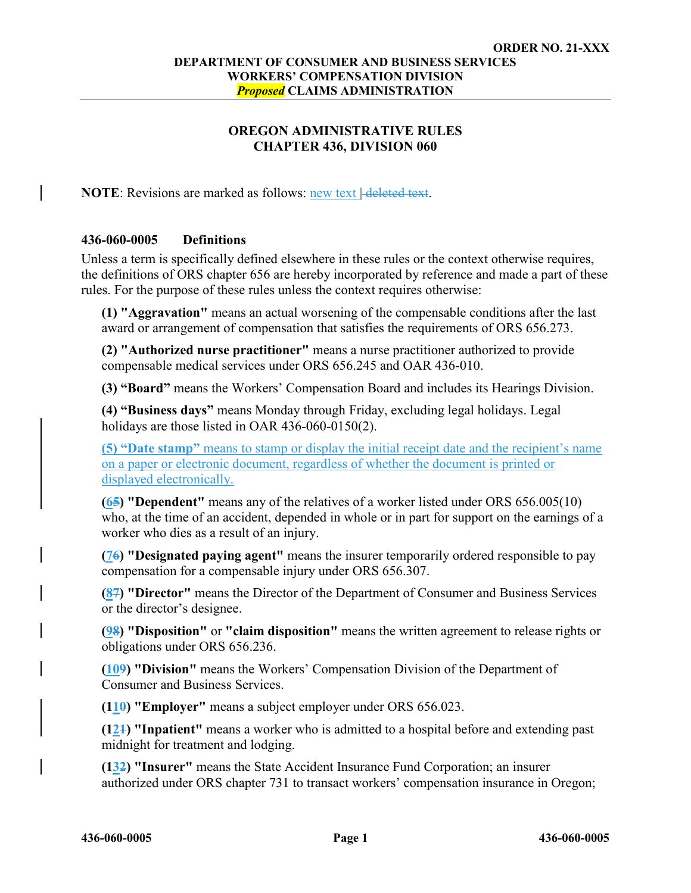# **OREGON ADMINISTRATIVE RULES CHAPTER 436, DIVISION 060**

**NOTE**: Revisions are marked as follows: new text  $\left| \right|$  deleted text.

### <span id="page-35-0"></span>**436-060-0005 Definitions**

Unless a term is specifically defined elsewhere in these rules or the context otherwise requires, the definitions of ORS chapter 656 are hereby incorporated by reference and made a part of these rules. For the purpose of these rules unless the context requires otherwise:

**(1) "Aggravation"** means an actual worsening of the compensable conditions after the last award or arrangement of compensation that satisfies the requirements of ORS 656.273.

**(2) "Authorized nurse practitioner"** means a nurse practitioner authorized to provide compensable medical services under ORS 656.245 and OAR 436-010.

**(3) "Board"** means the Workers' Compensation Board and includes its Hearings Division.

**(4) "Business days"** means Monday through Friday, excluding legal holidays. Legal holidays are those listed in OAR 436-060-0150(2).

**(5) "Date stamp"** means to stamp or display the initial receipt date and the recipient's name on a paper or electronic document, regardless of whether the document is printed or displayed electronically.

**(65) "Dependent"** means any of the relatives of a worker listed under ORS 656.005(10) who, at the time of an accident, depended in whole or in part for support on the earnings of a worker who dies as a result of an injury.

**(76) "Designated paying agent"** means the insurer temporarily ordered responsible to pay compensation for a compensable injury under ORS 656.307.

**(87) "Director"** means the Director of the Department of Consumer and Business Services or the director's designee.

**(98) "Disposition"** or **"claim disposition"** means the written agreement to release rights or obligations under ORS 656.236.

**(109) "Division"** means the Workers' Compensation Division of the Department of Consumer and Business Services.

**(110) "Employer"** means a subject employer under ORS 656.023.

**(121) "Inpatient"** means a worker who is admitted to a hospital before and extending past midnight for treatment and lodging.

**(132) "Insurer"** means the State Accident Insurance Fund Corporation; an insurer authorized under ORS chapter 731 to transact workers' compensation insurance in Oregon;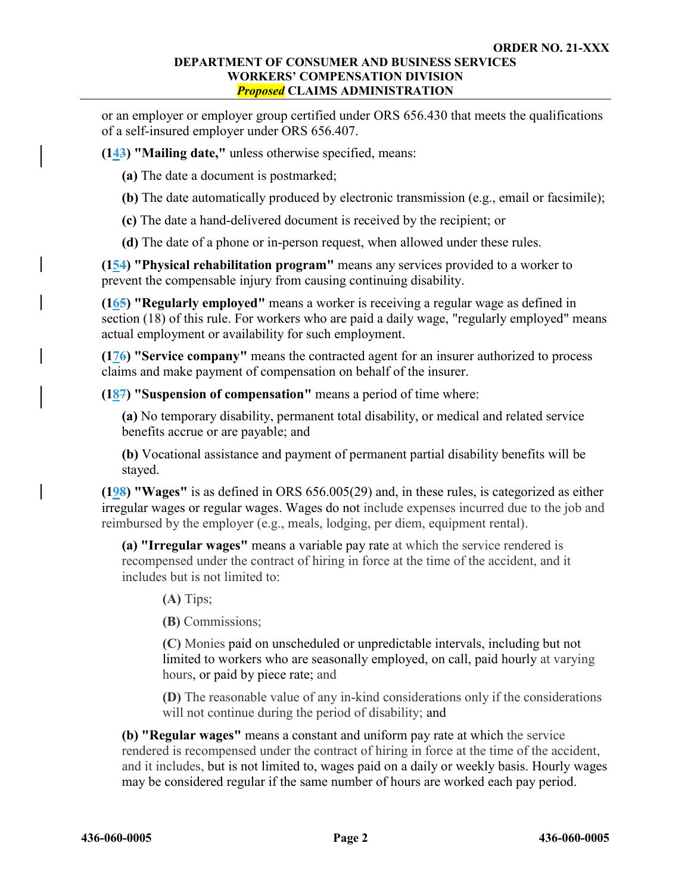or an employer or employer group certified under ORS 656.430 that meets the qualifications of a self-insured employer under ORS 656.407.

**(143) "Mailing date,"** unless otherwise specified, means:

- **(a)** The date a document is postmarked;
- **(b)** The date automatically produced by electronic transmission (e.g., email or facsimile);
- **(c)** The date a hand-delivered document is received by the recipient; or
- **(d)** The date of a phone or in-person request, when allowed under these rules.

**(154) "Physical rehabilitation program"** means any services provided to a worker to prevent the compensable injury from causing continuing disability.

**(165) "Regularly employed"** means a worker is receiving a regular wage as defined in section (18) of this rule. For workers who are paid a daily wage, "regularly employed" means actual employment or availability for such employment.

**(176) "Service company"** means the contracted agent for an insurer authorized to process claims and make payment of compensation on behalf of the insurer.

**(187) "Suspension of compensation"** means a period of time where:

**(a)** No temporary disability, permanent total disability, or medical and related service benefits accrue or are payable; and

**(b)** Vocational assistance and payment of permanent partial disability benefits will be stayed.

**(198) "Wages"** is as defined in ORS 656.005(29) and, in these rules, is categorized as either irregular wages or regular wages. Wages do not include expenses incurred due to the job and reimbursed by the employer (e.g., meals, lodging, per diem, equipment rental).

**(a) "Irregular wages"** means a variable pay rate at which the service rendered is recompensed under the contract of hiring in force at the time of the accident, and it includes but is not limited to:

**(A)** Tips;

**(B)** Commissions;

**(C)** Monies paid on unscheduled or unpredictable intervals, including but not limited to workers who are seasonally employed, on call, paid hourly at varying hours, or paid by piece rate; and

**(D)** The reasonable value of any in-kind considerations only if the considerations will not continue during the period of disability; and

**(b) "Regular wages"** means a constant and uniform pay rate at which the service rendered is recompensed under the contract of hiring in force at the time of the accident, and it includes, but is not limited to, wages paid on a daily or weekly basis. Hourly wages may be considered regular if the same number of hours are worked each pay period.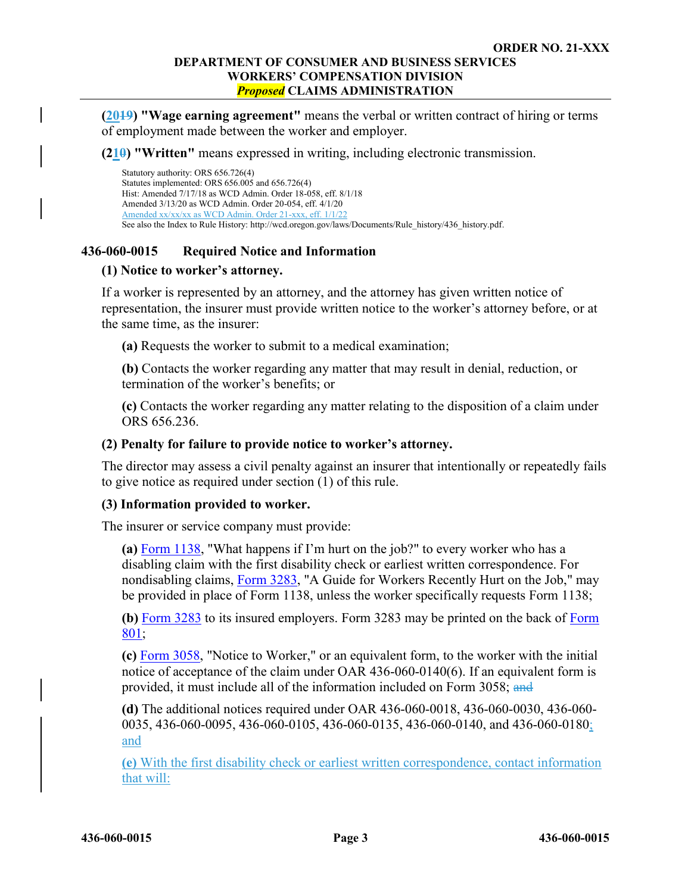**(2019) "Wage earning agreement"** means the verbal or written contract of hiring or terms of employment made between the worker and employer.

**(210) "Written"** means expressed in writing, including electronic transmission.

Statutory authority: ORS 656.726(4) Statutes implemented: ORS 656.005 and 656.726(4) Hist: Amended 7/17/18 as WCD Admin. Order 18-058, eff. 8/1/18 Amended 3/13/20 as WCD Admin. Order 20-054, eff. 4/1/20 Amended xx/xx/xx as WCD Admin. Order 21-xxx, eff. 1/1/22 See also the Index to Rule History: [http://wcd.oregon.gov/laws/Documents/Rule\\_history/436\\_history.pdf.](http://wcd.oregon.gov/laws/Documents/Rule_history/436_history.pdf) 

### <span id="page-37-0"></span>**436-060-0015 Required Notice and Information**

### **(1) Notice to worker's attorney.**

If a worker is represented by an attorney, and the attorney has given written notice of representation, the insurer must provide written notice to the worker's attorney before, or at the same time, as the insurer:

**(a)** Requests the worker to submit to a medical examination;

**(b)** Contacts the worker regarding any matter that may result in denial, reduction, or termination of the worker's benefits; or

**(c)** Contacts the worker regarding any matter relating to the disposition of a claim under ORS 656.236.

#### **(2) Penalty for failure to provide notice to worker's attorney.**

The director may assess a civil penalty against an insurer that intentionally or repeatedly fails to give notice as required under section (1) of this rule.

### **(3) Information provided to worker.**

The insurer or service company must provide:

**(a)** [Form 1138,](https://wcd.oregon.gov/Publications/1138.pdf) "What happens if I'm hurt on the job?" to every worker who has a disabling claim with the first disability check or earliest written correspondence. For nondisabling claims, [Form 3283,](https://wcd.oregon.gov/WCDForms/3283.doc) "A Guide for Workers Recently Hurt on the Job," may be provided in place of Form 1138, unless the worker specifically requests Form 1138;

**(b)** [Form 3283](https://wcd.oregon.gov/WCDForms/3283.doc) to its insured employers. Form 3283 may be printed on the back of [Form](https://wcd.oregon.gov/WCDForms/801.doc)  [801;](https://wcd.oregon.gov/WCDForms/801.doc)

**(c)** [Form 3058,](https://wcd.oregon.gov/WCDForms/3058.doc) "Notice to Worker," or an equivalent form, to the worker with the initial notice of acceptance of the claim under OAR 436-060-0140(6). If an equivalent form is provided, it must include all of the information included on Form 3058; and

**(d)** The additional notices required under OAR 436-060-0018, 436-060-0030, 436-060- 0035, 436-060-0095, 436-060-0105, 436-060-0135, 436-060-0140, and 436-060-0180; and

**(e)** With the first disability check or earliest written correspondence, contact information that will: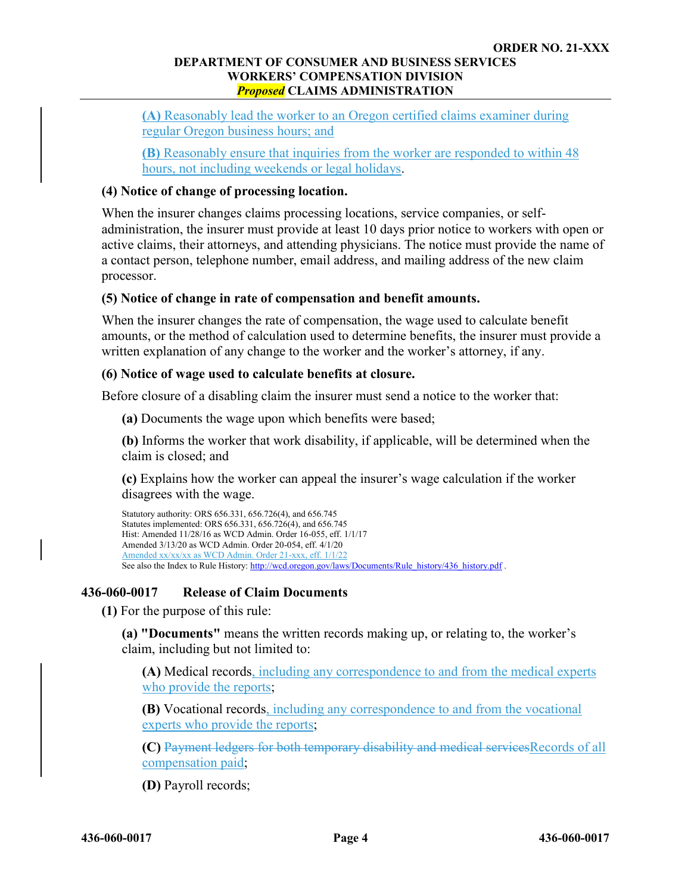**(A)** Reasonably lead the worker to an Oregon certified claims examiner during regular Oregon business hours; and

**(B)** Reasonably ensure that inquiries from the worker are responded to within 48 hours, not including weekends or legal holidays.

### **(4) Notice of change of processing location.**

When the insurer changes claims processing locations, service companies, or selfadministration, the insurer must provide at least 10 days prior notice to workers with open or active claims, their attorneys, and attending physicians. The notice must provide the name of a contact person, telephone number, email address, and mailing address of the new claim processor.

### **(5) Notice of change in rate of compensation and benefit amounts.**

When the insurer changes the rate of compensation, the wage used to calculate benefit amounts, or the method of calculation used to determine benefits, the insurer must provide a written explanation of any change to the worker and the worker's attorney, if any.

### **(6) Notice of wage used to calculate benefits at closure.**

Before closure of a disabling claim the insurer must send a notice to the worker that:

**(a)** Documents the wage upon which benefits were based;

**(b)** Informs the worker that work disability, if applicable, will be determined when the claim is closed; and

**(c)** Explains how the worker can appeal the insurer's wage calculation if the worker disagrees with the wage.

```
Statutory authority: ORS 656.331, 656.726(4), and 656.745
Statutes implemented: ORS 656.331, 656.726(4), and 656.745
Hist: Amended 11/28/16 as WCD Admin. Order 16-055, eff. 1/1/17
Amended 3/13/20 as WCD Admin. Order 20-054, eff. 4/1/20
Amended xx/xx/xx as WCD Admin. Order 21-xxx, eff. 1/1/22
 http://wcd.oregon.gov/laws/Documents/Rule_history/436_history.pdf .
```
# <span id="page-38-0"></span>**436-060-0017 Release of Claim Documents**

**(1)** For the purpose of this rule:

**(a) "Documents"** means the written records making up, or relating to, the worker's claim, including but not limited to:

**(A)** Medical records, including any correspondence to and from the medical experts who provide the reports;

**(B)** Vocational records, including any correspondence to and from the vocational experts who provide the reports;

**(C)** Payment ledgers for both temporary disability and medical servicesRecords of all compensation paid;

**(D)** Payroll records;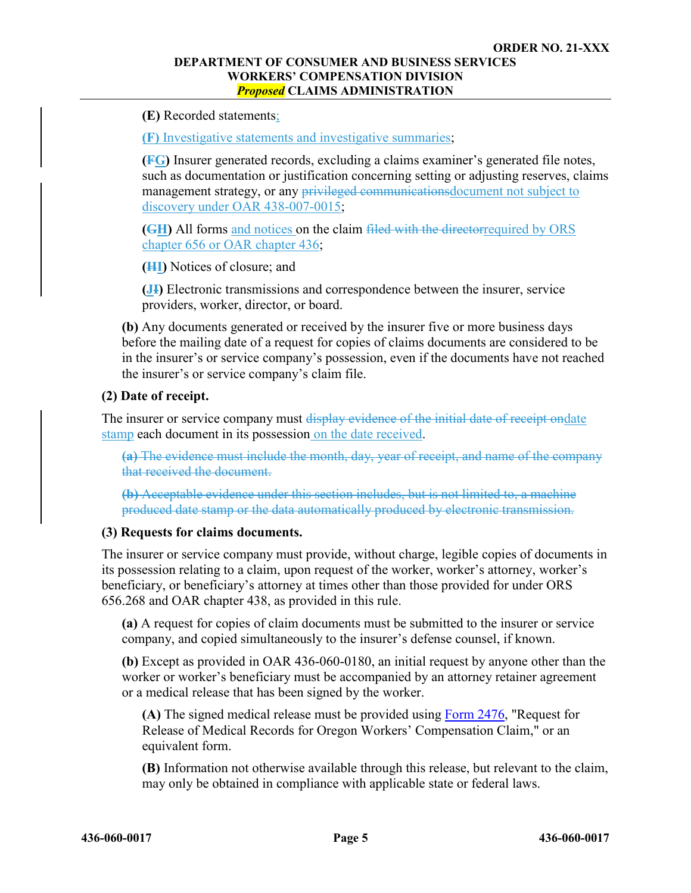**(E)** Recorded statements;

**(F)** Investigative statements and investigative summaries;

**(FG)** Insurer generated records, excluding a claims examiner's generated file notes, such as documentation or justification concerning setting or adjusting reserves, claims management strategy, or any privileged communications document not subject to discovery under OAR 438-007-0015;

**(GH)** All forms and notices on the claim filed with the directorrequired by ORS chapter 656 or OAR chapter 436;

**(HI)** Notices of closure; and

**(JI)** Electronic transmissions and correspondence between the insurer, service providers, worker, director, or board.

**(b)** Any documents generated or received by the insurer five or more business days before the mailing date of a request for copies of claims documents are considered to be in the insurer's or service company's possession, even if the documents have not reached the insurer's or service company's claim file.

# **(2) Date of receipt.**

The insurer or service company must display evidence of the initial date of receipt ondate stamp each document in its possession on the date received.

**(a)** The evidence must include the month, day, year of receipt, and name of the company that received the document.

**(b)** Acceptable evidence under this section includes, but is not limited to, a machine produced date stamp or the data automatically produced by electronic transmission.

# **(3) Requests for claims documents.**

The insurer or service company must provide, without charge, legible copies of documents in its possession relating to a claim, upon request of the worker, worker's attorney, worker's beneficiary, or beneficiary's attorney at times other than those provided for under ORS 656.268 and OAR chapter 438, as provided in this rule.

**(a)** A request for copies of claim documents must be submitted to the insurer or service company, and copied simultaneously to the insurer's defense counsel, if known.

**(b)** Except as provided in OAR 436-060-0180, an initial request by anyone other than the worker or worker's beneficiary must be accompanied by an attorney retainer agreement or a medical release that has been signed by the worker.

**(A)** The signed medical release must be provided using [Form 2476,](https://wcd.oregon.gov/WCDForms/2476.doc) "Request for Release of Medical Records for Oregon Workers' Compensation Claim," or an equivalent form.

**(B)** Information not otherwise available through this release, but relevant to the claim, may only be obtained in compliance with applicable state or federal laws.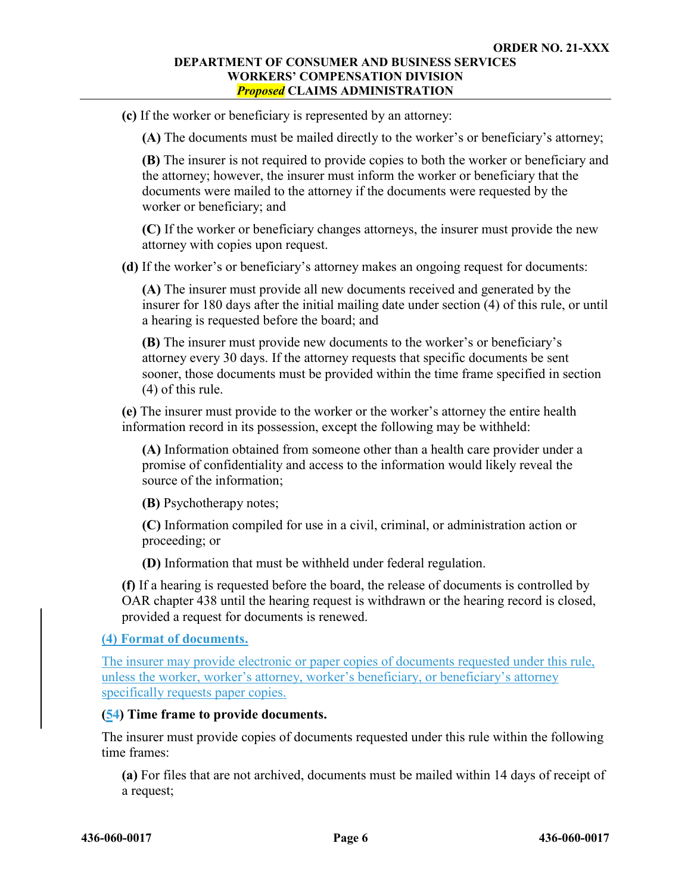**(c)** If the worker or beneficiary is represented by an attorney:

**(A)** The documents must be mailed directly to the worker's or beneficiary's attorney;

**(B)** The insurer is not required to provide copies to both the worker or beneficiary and the attorney; however, the insurer must inform the worker or beneficiary that the documents were mailed to the attorney if the documents were requested by the worker or beneficiary; and

**(C)** If the worker or beneficiary changes attorneys, the insurer must provide the new attorney with copies upon request.

**(d)** If the worker's or beneficiary's attorney makes an ongoing request for documents:

**(A)** The insurer must provide all new documents received and generated by the insurer for 180 days after the initial mailing date under section (4) of this rule, or until a hearing is requested before the board; and

**(B)** The insurer must provide new documents to the worker's or beneficiary's attorney every 30 days. If the attorney requests that specific documents be sent sooner, those documents must be provided within the time frame specified in section (4) of this rule.

**(e)** The insurer must provide to the worker or the worker's attorney the entire health information record in its possession, except the following may be withheld:

**(A)** Information obtained from someone other than a health care provider under a promise of confidentiality and access to the information would likely reveal the source of the information;

**(B)** Psychotherapy notes;

**(C)** Information compiled for use in a civil, criminal, or administration action or proceeding; or

**(D)** Information that must be withheld under federal regulation.

**(f)** If a hearing is requested before the board, the release of documents is controlled by OAR chapter 438 until the hearing request is withdrawn or the hearing record is closed, provided a request for documents is renewed.

# **(4) Format of documents.**

The insurer may provide electronic or paper copies of documents requested under this rule, unless the worker, worker's attorney, worker's beneficiary, or beneficiary's attorney specifically requests paper copies.

### **(54) Time frame to provide documents.**

The insurer must provide copies of documents requested under this rule within the following time frames:

**(a)** For files that are not archived, documents must be mailed within 14 days of receipt of a request;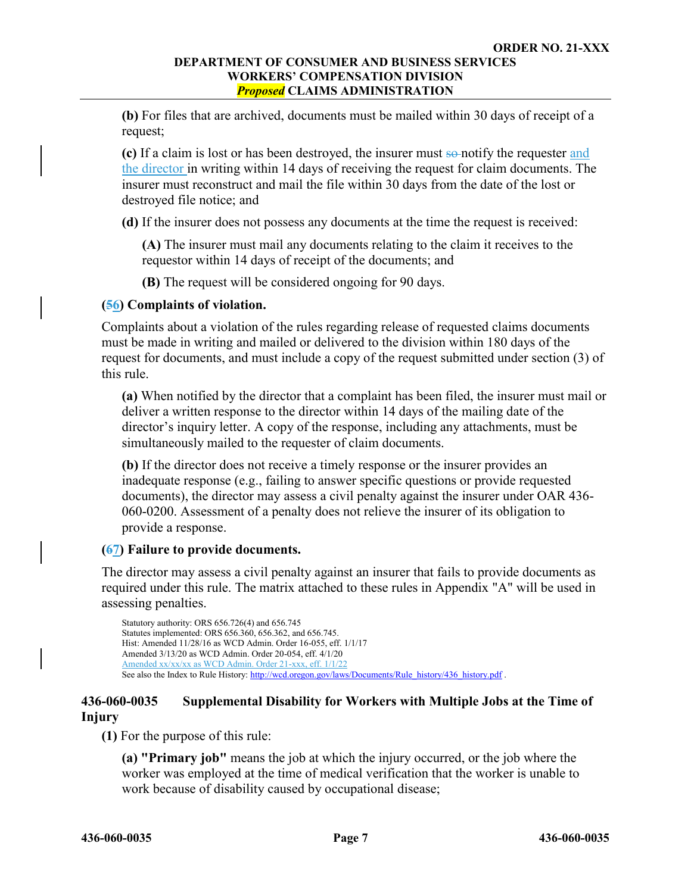**(b)** For files that are archived, documents must be mailed within 30 days of receipt of a request;

**(c)** If a claim is lost or has been destroyed, the insurer must so-notify the requester and the director in writing within 14 days of receiving the request for claim documents. The insurer must reconstruct and mail the file within 30 days from the date of the lost or destroyed file notice; and

**(d)** If the insurer does not possess any documents at the time the request is received:

**(A)** The insurer must mail any documents relating to the claim it receives to the requestor within 14 days of receipt of the documents; and

**(B)** The request will be considered ongoing for 90 days.

# **(56) Complaints of violation.**

Complaints about a violation of the rules regarding release of requested claims documents must be made in writing and mailed or delivered to the division within 180 days of the request for documents, and must include a copy of the request submitted under section (3) of this rule.

**(a)** When notified by the director that a complaint has been filed, the insurer must mail or deliver a written response to the director within 14 days of the mailing date of the director's inquiry letter. A copy of the response, including any attachments, must be simultaneously mailed to the requester of claim documents.

**(b)** If the director does not receive a timely response or the insurer provides an inadequate response (e.g., failing to answer specific questions or provide requested documents), the director may assess a civil penalty against the insurer under OAR 436- 060-0200. Assessment of a penalty does not relieve the insurer of its obligation to provide a response.

### **(67) Failure to provide documents.**

The director may assess a civil penalty against an insurer that fails to provide documents as required under this rule. The matrix attached to these rules in Appendix "A" will be used in assessing penalties.

Statutory authority: ORS 656.726(4) and 656.745 Statutes implemented: ORS 656.360, 656.362, and 656.745. Hist: Amended 11/28/16 as WCD Admin. Order 16-055, eff. 1/1/17 Amended 3/13/20 as WCD Admin. Order 20-054, eff. 4/1/20 Amended xx/xx/xx as WCD Admin. Order 21-xxx, eff. 1/1/22 See also the Index to Rule History: [http://wcd.oregon.gov/laws/Documents/Rule\\_history/436\\_history.pdf](http://wcd.oregon.gov/laws/Documents/Rule_history/436_history.pdf) .

# <span id="page-41-0"></span>**436-060-0035 Supplemental Disability for Workers with Multiple Jobs at the Time of Injury**

**(1)** For the purpose of this rule:

**(a) "Primary job"** means the job at which the injury occurred, or the job where the worker was employed at the time of medical verification that the worker is unable to work because of disability caused by occupational disease;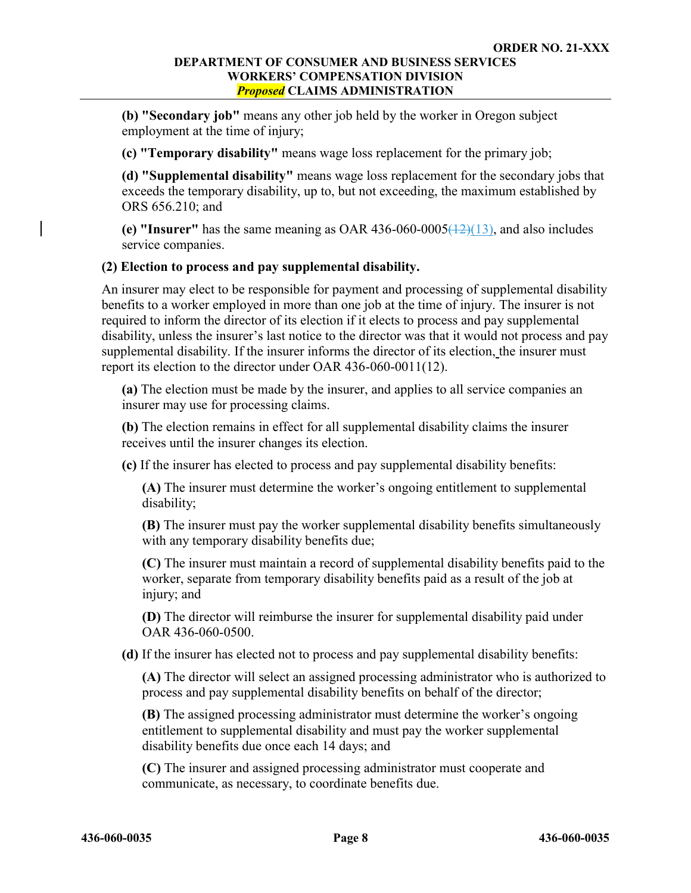**(b) "Secondary job"** means any other job held by the worker in Oregon subject employment at the time of injury;

**(c) "Temporary disability"** means wage loss replacement for the primary job;

**(d) "Supplemental disability"** means wage loss replacement for the secondary jobs that exceeds the temporary disability, up to, but not exceeding, the maximum established by ORS 656.210; and

**(e) "Insurer"** has the same meaning as OAR 436-060-0005 $\frac{(12)(13)}{13}$ , and also includes service companies.

# **(2) Election to process and pay supplemental disability.**

An insurer may elect to be responsible for payment and processing of supplemental disability benefits to a worker employed in more than one job at the time of injury. The insurer is not required to inform the director of its election if it elects to process and pay supplemental disability, unless the insurer's last notice to the director was that it would not process and pay supplemental disability. If the insurer informs the director of its election, the insurer must report its election to the director under OAR 436-060-0011(12).

**(a)** The election must be made by the insurer, and applies to all service companies an insurer may use for processing claims.

**(b)** The election remains in effect for all supplemental disability claims the insurer receives until the insurer changes its election.

**(c)** If the insurer has elected to process and pay supplemental disability benefits:

**(A)** The insurer must determine the worker's ongoing entitlement to supplemental disability;

**(B)** The insurer must pay the worker supplemental disability benefits simultaneously with any temporary disability benefits due;

**(C)** The insurer must maintain a record of supplemental disability benefits paid to the worker, separate from temporary disability benefits paid as a result of the job at injury; and

**(D)** The director will reimburse the insurer for supplemental disability paid under OAR 436-060-0500.

**(d)** If the insurer has elected not to process and pay supplemental disability benefits:

**(A)** The director will select an assigned processing administrator who is authorized to process and pay supplemental disability benefits on behalf of the director;

**(B)** The assigned processing administrator must determine the worker's ongoing entitlement to supplemental disability and must pay the worker supplemental disability benefits due once each 14 days; and

**(C)** The insurer and assigned processing administrator must cooperate and communicate, as necessary, to coordinate benefits due.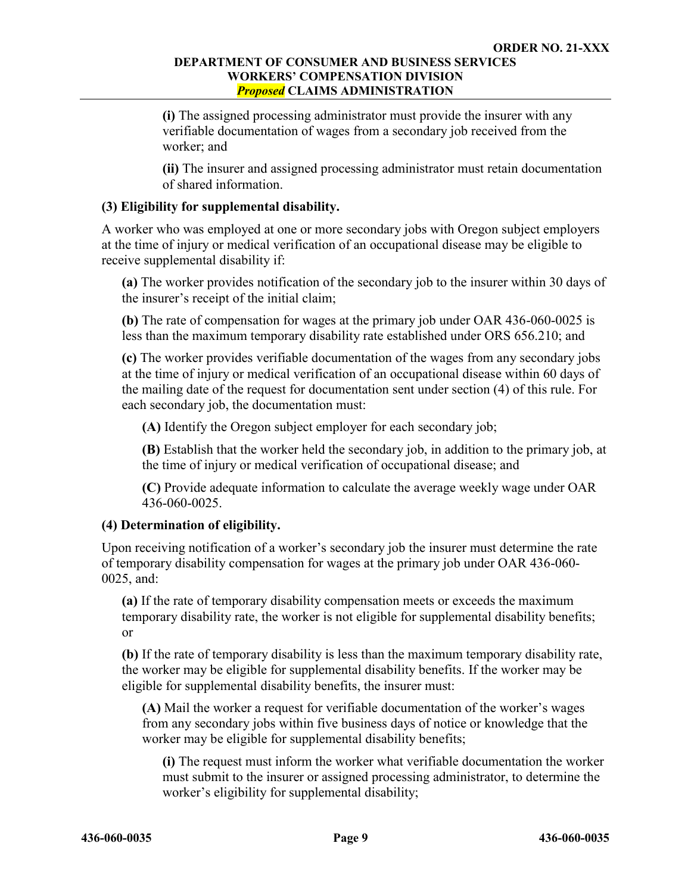**(i)** The assigned processing administrator must provide the insurer with any verifiable documentation of wages from a secondary job received from the worker; and

**(ii)** The insurer and assigned processing administrator must retain documentation of shared information.

### **(3) Eligibility for supplemental disability.**

A worker who was employed at one or more secondary jobs with Oregon subject employers at the time of injury or medical verification of an occupational disease may be eligible to receive supplemental disability if:

**(a)** The worker provides notification of the secondary job to the insurer within 30 days of the insurer's receipt of the initial claim;

**(b)** The rate of compensation for wages at the primary job under OAR 436-060-0025 is less than the maximum temporary disability rate established under ORS 656.210; and

**(c)** The worker provides verifiable documentation of the wages from any secondary jobs at the time of injury or medical verification of an occupational disease within 60 days of the mailing date of the request for documentation sent under section (4) of this rule. For each secondary job, the documentation must:

**(A)** Identify the Oregon subject employer for each secondary job;

**(B)** Establish that the worker held the secondary job, in addition to the primary job, at the time of injury or medical verification of occupational disease; and

**(C)** Provide adequate information to calculate the average weekly wage under OAR 436-060-0025.

# **(4) Determination of eligibility.**

Upon receiving notification of a worker's secondary job the insurer must determine the rate of temporary disability compensation for wages at the primary job under OAR 436-060- 0025, and:

**(a)** If the rate of temporary disability compensation meets or exceeds the maximum temporary disability rate, the worker is not eligible for supplemental disability benefits; or

**(b)** If the rate of temporary disability is less than the maximum temporary disability rate, the worker may be eligible for supplemental disability benefits. If the worker may be eligible for supplemental disability benefits, the insurer must:

**(A)** Mail the worker a request for verifiable documentation of the worker's wages from any secondary jobs within five business days of notice or knowledge that the worker may be eligible for supplemental disability benefits;

**(i)** The request must inform the worker what verifiable documentation the worker must submit to the insurer or assigned processing administrator, to determine the worker's eligibility for supplemental disability;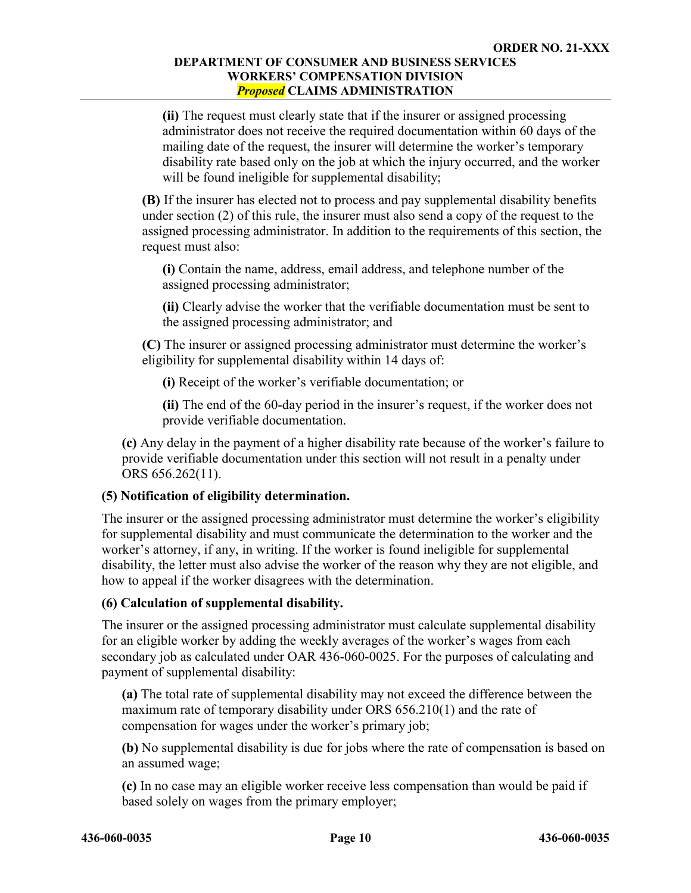**(ii)** The request must clearly state that if the insurer or assigned processing administrator does not receive the required documentation within 60 days of the mailing date of the request, the insurer will determine the worker's temporary disability rate based only on the job at which the injury occurred, and the worker will be found ineligible for supplemental disability;

**(B)** If the insurer has elected not to process and pay supplemental disability benefits under section (2) of this rule, the insurer must also send a copy of the request to the assigned processing administrator. In addition to the requirements of this section, the request must also:

**(i)** Contain the name, address, email address, and telephone number of the assigned processing administrator;

**(ii)** Clearly advise the worker that the verifiable documentation must be sent to the assigned processing administrator; and

**(C)** The insurer or assigned processing administrator must determine the worker's eligibility for supplemental disability within 14 days of:

**(i)** Receipt of the worker's verifiable documentation; or

**(ii)** The end of the 60-day period in the insurer's request, if the worker does not provide verifiable documentation.

**(c)** Any delay in the payment of a higher disability rate because of the worker's failure to provide verifiable documentation under this section will not result in a penalty under ORS 656.262(11).

# **(5) Notification of eligibility determination.**

The insurer or the assigned processing administrator must determine the worker's eligibility for supplemental disability and must communicate the determination to the worker and the worker's attorney, if any, in writing. If the worker is found ineligible for supplemental disability, the letter must also advise the worker of the reason why they are not eligible, and how to appeal if the worker disagrees with the determination.

# **(6) Calculation of supplemental disability.**

The insurer or the assigned processing administrator must calculate supplemental disability for an eligible worker by adding the weekly averages of the worker's wages from each secondary job as calculated under OAR 436-060-0025. For the purposes of calculating and payment of supplemental disability:

**(a)** The total rate of supplemental disability may not exceed the difference between the maximum rate of temporary disability under ORS 656.210(1) and the rate of compensation for wages under the worker's primary job;

**(b)** No supplemental disability is due for jobs where the rate of compensation is based on an assumed wage;

**(c)** In no case may an eligible worker receive less compensation than would be paid if based solely on wages from the primary employer;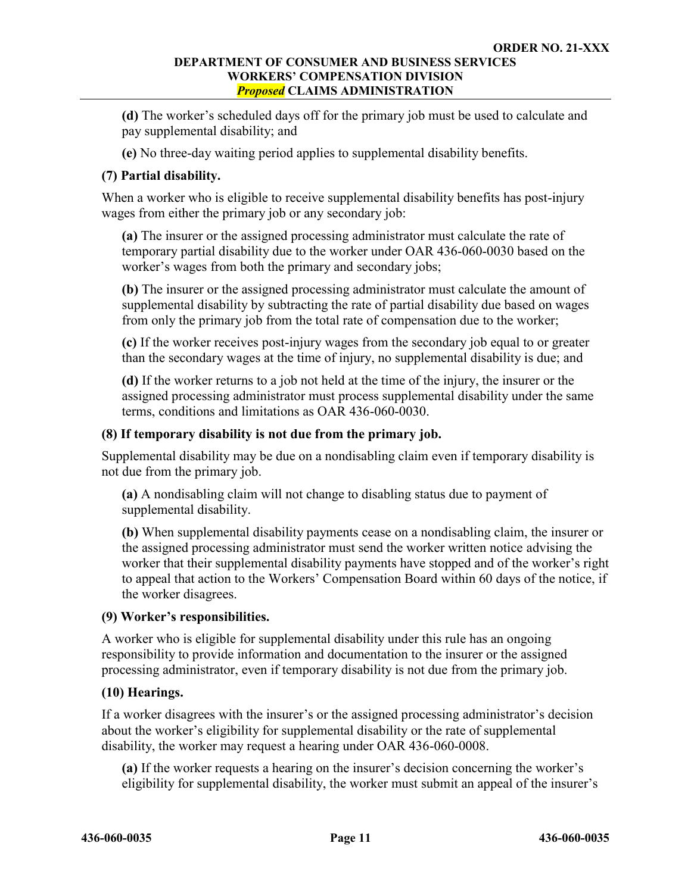**(d)** The worker's scheduled days off for the primary job must be used to calculate and pay supplemental disability; and

**(e)** No three-day waiting period applies to supplemental disability benefits.

# **(7) Partial disability.**

When a worker who is eligible to receive supplemental disability benefits has post-injury wages from either the primary job or any secondary job:

**(a)** The insurer or the assigned processing administrator must calculate the rate of temporary partial disability due to the worker under OAR 436-060-0030 based on the worker's wages from both the primary and secondary jobs;

**(b)** The insurer or the assigned processing administrator must calculate the amount of supplemental disability by subtracting the rate of partial disability due based on wages from only the primary job from the total rate of compensation due to the worker;

**(c)** If the worker receives post-injury wages from the secondary job equal to or greater than the secondary wages at the time of injury, no supplemental disability is due; and

**(d)** If the worker returns to a job not held at the time of the injury, the insurer or the assigned processing administrator must process supplemental disability under the same terms, conditions and limitations as OAR 436-060-0030.

# **(8) If temporary disability is not due from the primary job.**

Supplemental disability may be due on a nondisabling claim even if temporary disability is not due from the primary job.

**(a)** A nondisabling claim will not change to disabling status due to payment of supplemental disability.

**(b)** When supplemental disability payments cease on a nondisabling claim, the insurer or the assigned processing administrator must send the worker written notice advising the worker that their supplemental disability payments have stopped and of the worker's right to appeal that action to the Workers' Compensation Board within 60 days of the notice, if the worker disagrees.

# **(9) Worker's responsibilities.**

A worker who is eligible for supplemental disability under this rule has an ongoing responsibility to provide information and documentation to the insurer or the assigned processing administrator, even if temporary disability is not due from the primary job.

# **(10) Hearings.**

If a worker disagrees with the insurer's or the assigned processing administrator's decision about the worker's eligibility for supplemental disability or the rate of supplemental disability, the worker may request a hearing under OAR 436-060-0008.

**(a)** If the worker requests a hearing on the insurer's decision concerning the worker's eligibility for supplemental disability, the worker must submit an appeal of the insurer's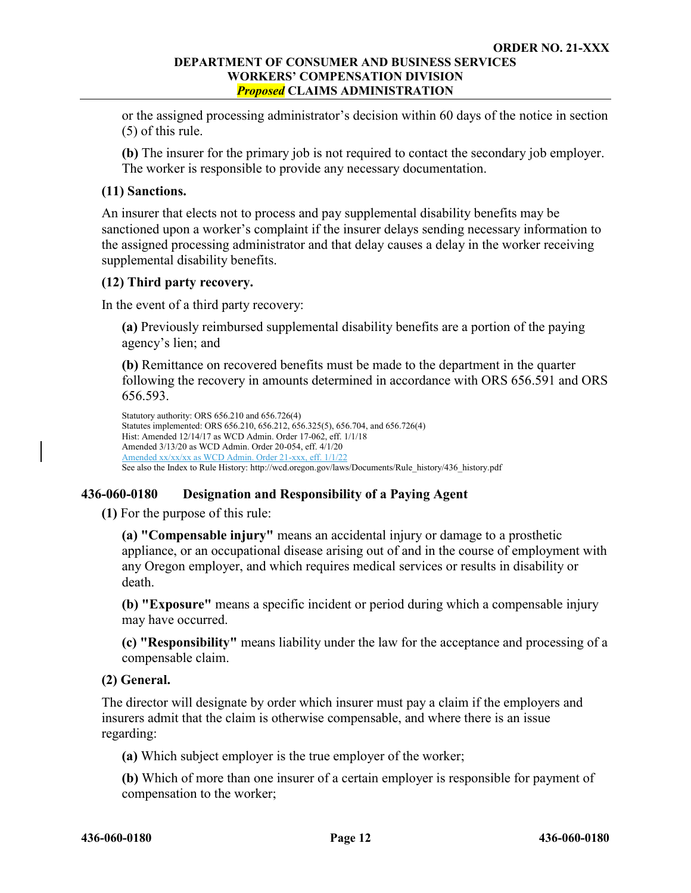or the assigned processing administrator's decision within 60 days of the notice in section (5) of this rule.

**(b)** The insurer for the primary job is not required to contact the secondary job employer. The worker is responsible to provide any necessary documentation.

### **(11) Sanctions.**

An insurer that elects not to process and pay supplemental disability benefits may be sanctioned upon a worker's complaint if the insurer delays sending necessary information to the assigned processing administrator and that delay causes a delay in the worker receiving supplemental disability benefits.

# **(12) Third party recovery.**

In the event of a third party recovery:

**(a)** Previously reimbursed supplemental disability benefits are a portion of the paying agency's lien; and

**(b)** Remittance on recovered benefits must be made to the department in the quarter following the recovery in amounts determined in accordance with ORS 656.591 and ORS 656.593.

```
Statutory authority: ORS 656.210 and 656.726(4)
Statutes implemented: ORS 656.210, 656.212, 656.325(5), 656.704, and 656.726(4)
Hist: Amended 12/14/17 as WCD Admin. Order 17-062, eff. 1/1/18
Amended 3/13/20 as WCD Admin. Order 20-054, eff. 4/1/20
Amended xx/xx/xx as WCD Admin. Order 21-xxx, eff. 1/1/22
 http://wcd.oregon.gov/laws/Documents/Rule_history/436_history.pdf
```
# <span id="page-46-0"></span>**436-060-0180 Designation and Responsibility of a Paying Agent**

**(1)** For the purpose of this rule:

**(a) "Compensable injury"** means an accidental injury or damage to a prosthetic appliance, or an occupational disease arising out of and in the course of employment with any Oregon employer, and which requires medical services or results in disability or death.

**(b) "Exposure"** means a specific incident or period during which a compensable injury may have occurred.

**(c) "Responsibility"** means liability under the law for the acceptance and processing of a compensable claim.

### **(2) General.**

The director will designate by order which insurer must pay a claim if the employers and insurers admit that the claim is otherwise compensable, and where there is an issue regarding:

**(a)** Which subject employer is the true employer of the worker;

**(b)** Which of more than one insurer of a certain employer is responsible for payment of compensation to the worker;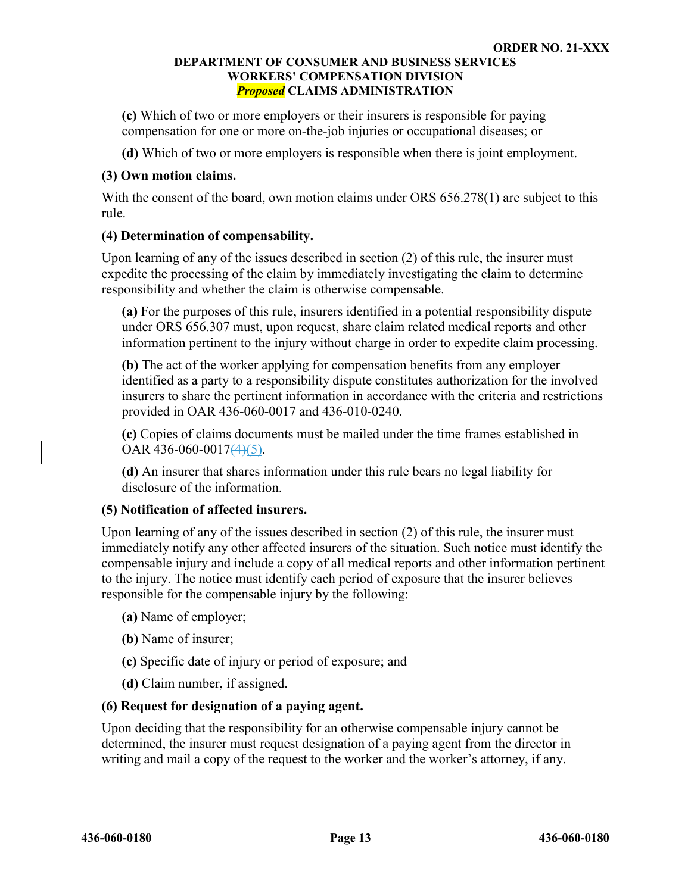**(c)** Which of two or more employers or their insurers is responsible for paying compensation for one or more on-the-job injuries or occupational diseases; or

**(d)** Which of two or more employers is responsible when there is joint employment.

### **(3) Own motion claims.**

With the consent of the board, own motion claims under ORS 656.278(1) are subject to this rule.

# **(4) Determination of compensability.**

Upon learning of any of the issues described in section (2) of this rule, the insurer must expedite the processing of the claim by immediately investigating the claim to determine responsibility and whether the claim is otherwise compensable.

**(a)** For the purposes of this rule, insurers identified in a potential responsibility dispute under ORS 656.307 must, upon request, share claim related medical reports and other information pertinent to the injury without charge in order to expedite claim processing.

**(b)** The act of the worker applying for compensation benefits from any employer identified as a party to a responsibility dispute constitutes authorization for the involved insurers to share the pertinent information in accordance with the criteria and restrictions provided in OAR 436-060-0017 and 436-010-0240.

**(c)** Copies of claims documents must be mailed under the time frames established in OAR  $436-060-0017(4)(5)$ .

**(d)** An insurer that shares information under this rule bears no legal liability for disclosure of the information.

# **(5) Notification of affected insurers.**

Upon learning of any of the issues described in section (2) of this rule, the insurer must immediately notify any other affected insurers of the situation. Such notice must identify the compensable injury and include a copy of all medical reports and other information pertinent to the injury. The notice must identify each period of exposure that the insurer believes responsible for the compensable injury by the following:

- **(a)** Name of employer;
- **(b)** Name of insurer;
- **(c)** Specific date of injury or period of exposure; and
- **(d)** Claim number, if assigned.

# **(6) Request for designation of a paying agent.**

Upon deciding that the responsibility for an otherwise compensable injury cannot be determined, the insurer must request designation of a paying agent from the director in writing and mail a copy of the request to the worker and the worker's attorney, if any.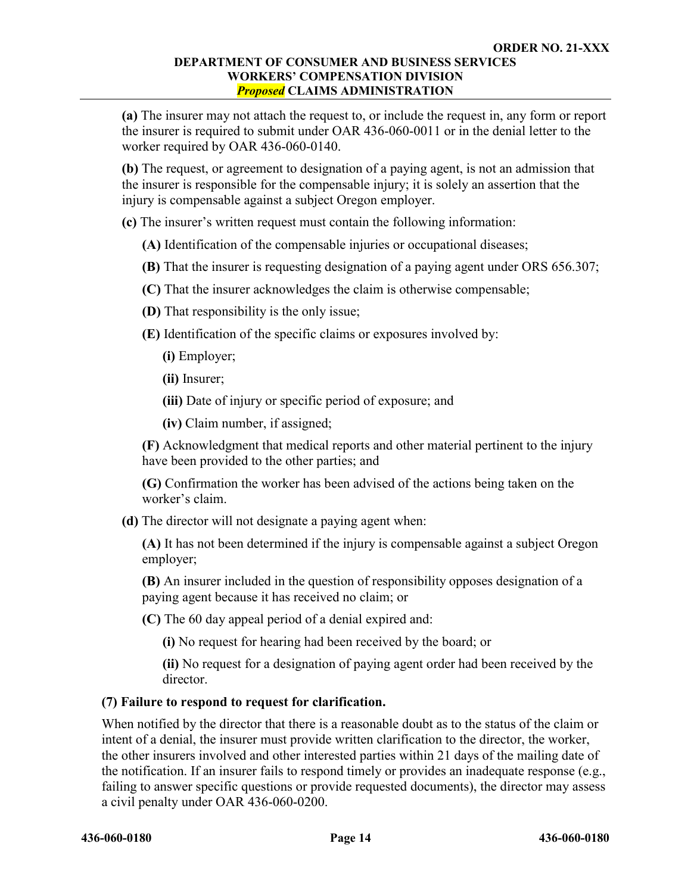**(a)** The insurer may not attach the request to, or include the request in, any form or report the insurer is required to submit under OAR 436-060-0011 or in the denial letter to the worker required by OAR 436-060-0140.

**(b)** The request, or agreement to designation of a paying agent, is not an admission that the insurer is responsible for the compensable injury; it is solely an assertion that the injury is compensable against a subject Oregon employer.

**(c)** The insurer's written request must contain the following information:

- **(A)** Identification of the compensable injuries or occupational diseases;
- **(B)** That the insurer is requesting designation of a paying agent under ORS 656.307;
- **(C)** That the insurer acknowledges the claim is otherwise compensable;
- **(D)** That responsibility is the only issue;
- **(E)** Identification of the specific claims or exposures involved by:

**(i)** Employer;

**(ii)** Insurer;

**(iii)** Date of injury or specific period of exposure; and

**(iv)** Claim number, if assigned;

**(F)** Acknowledgment that medical reports and other material pertinent to the injury have been provided to the other parties; and

**(G)** Confirmation the worker has been advised of the actions being taken on the worker's claim.

**(d)** The director will not designate a paying agent when:

**(A)** It has not been determined if the injury is compensable against a subject Oregon employer;

**(B)** An insurer included in the question of responsibility opposes designation of a paying agent because it has received no claim; or

**(C)** The 60 day appeal period of a denial expired and:

**(i)** No request for hearing had been received by the board; or

**(ii)** No request for a designation of paying agent order had been received by the director.

# **(7) Failure to respond to request for clarification.**

When notified by the director that there is a reasonable doubt as to the status of the claim or intent of a denial, the insurer must provide written clarification to the director, the worker, the other insurers involved and other interested parties within 21 days of the mailing date of the notification. If an insurer fails to respond timely or provides an inadequate response (e.g., failing to answer specific questions or provide requested documents), the director may assess a civil penalty under OAR 436-060-0200.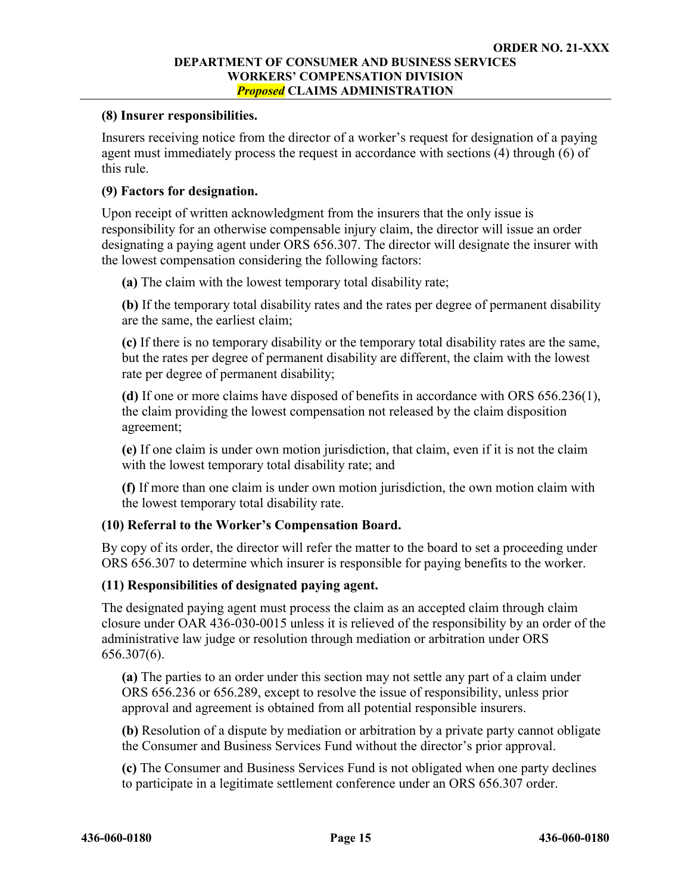### **(8) Insurer responsibilities.**

Insurers receiving notice from the director of a worker's request for designation of a paying agent must immediately process the request in accordance with sections (4) through (6) of this rule.

# **(9) Factors for designation.**

Upon receipt of written acknowledgment from the insurers that the only issue is responsibility for an otherwise compensable injury claim, the director will issue an order designating a paying agent under ORS 656.307. The director will designate the insurer with the lowest compensation considering the following factors:

**(a)** The claim with the lowest temporary total disability rate;

**(b)** If the temporary total disability rates and the rates per degree of permanent disability are the same, the earliest claim;

**(c)** If there is no temporary disability or the temporary total disability rates are the same, but the rates per degree of permanent disability are different, the claim with the lowest rate per degree of permanent disability;

**(d)** If one or more claims have disposed of benefits in accordance with ORS 656.236(1), the claim providing the lowest compensation not released by the claim disposition agreement;

**(e)** If one claim is under own motion jurisdiction, that claim, even if it is not the claim with the lowest temporary total disability rate; and

**(f)** If more than one claim is under own motion jurisdiction, the own motion claim with the lowest temporary total disability rate.

# **(10) Referral to the Worker's Compensation Board.**

By copy of its order, the director will refer the matter to the board to set a proceeding under ORS 656.307 to determine which insurer is responsible for paying benefits to the worker.

# **(11) Responsibilities of designated paying agent.**

The designated paying agent must process the claim as an accepted claim through claim closure under OAR 436-030-0015 unless it is relieved of the responsibility by an order of the administrative law judge or resolution through mediation or arbitration under ORS 656.307(6).

**(a)** The parties to an order under this section may not settle any part of a claim under ORS 656.236 or 656.289, except to resolve the issue of responsibility, unless prior approval and agreement is obtained from all potential responsible insurers.

**(b)** Resolution of a dispute by mediation or arbitration by a private party cannot obligate the Consumer and Business Services Fund without the director's prior approval.

**(c)** The Consumer and Business Services Fund is not obligated when one party declines to participate in a legitimate settlement conference under an ORS 656.307 order.